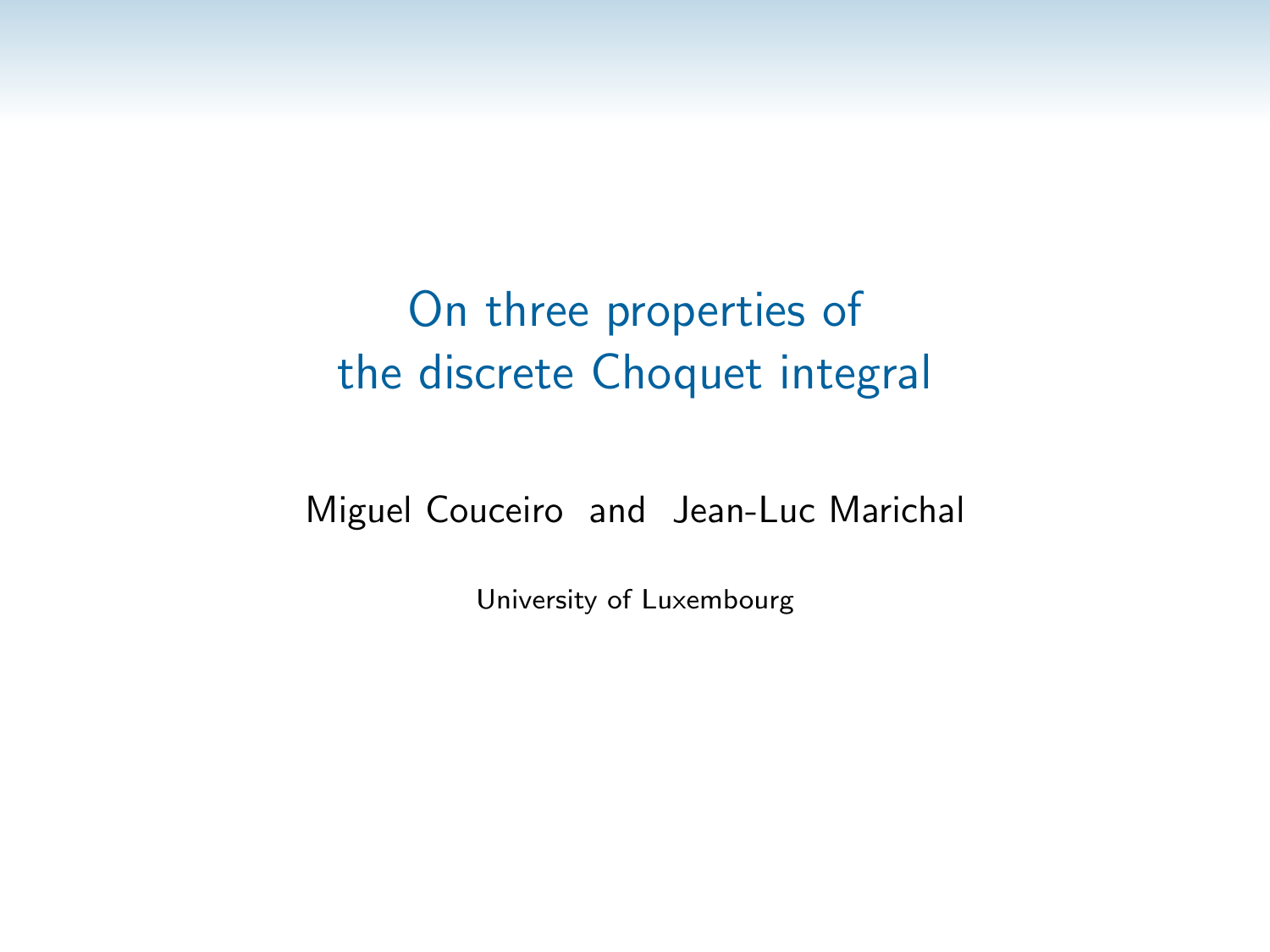### Miguel Couceiro and Jean-Luc Marichal

University of Luxembourg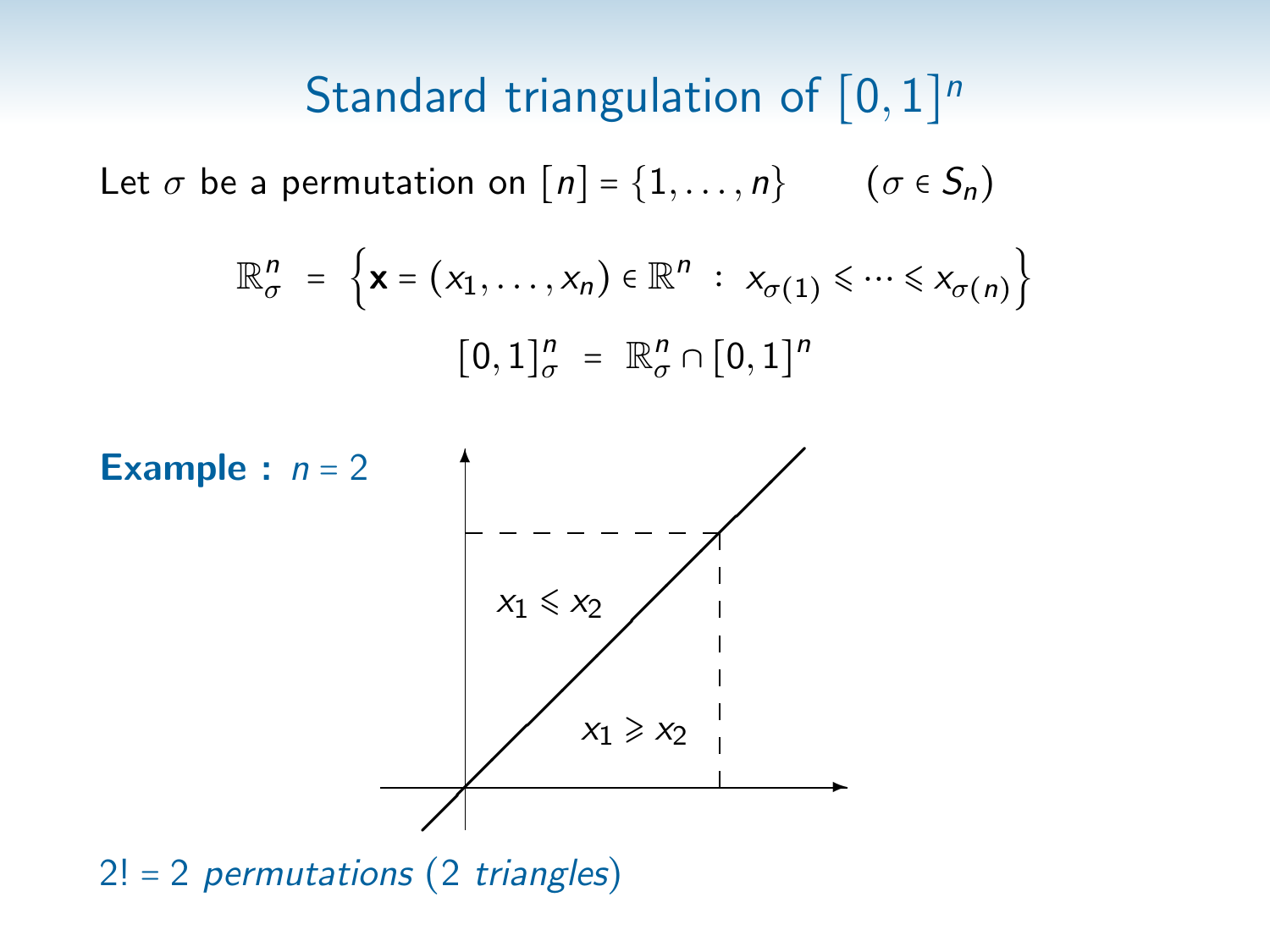# Standard triangulation of  $[0,1]^n$

Let  $\sigma$  be a permutation on  $[n] = \{1, \ldots, n\}$  ( $\sigma \in S_n$ )

$$
\mathbb{R}_{\sigma}^{n} = \left\{ \mathbf{x} = (x_1, \dots, x_n) \in \mathbb{R}^{n} : x_{\sigma(1)} \leq \dots \leq x_{\sigma(n)} \right\}
$$

$$
[0, 1]_{\sigma}^{n} = \mathbb{R}_{\sigma}^{n} \cap [0, 1]^{n}
$$



 $2! = 2$  permutations (2 triangles)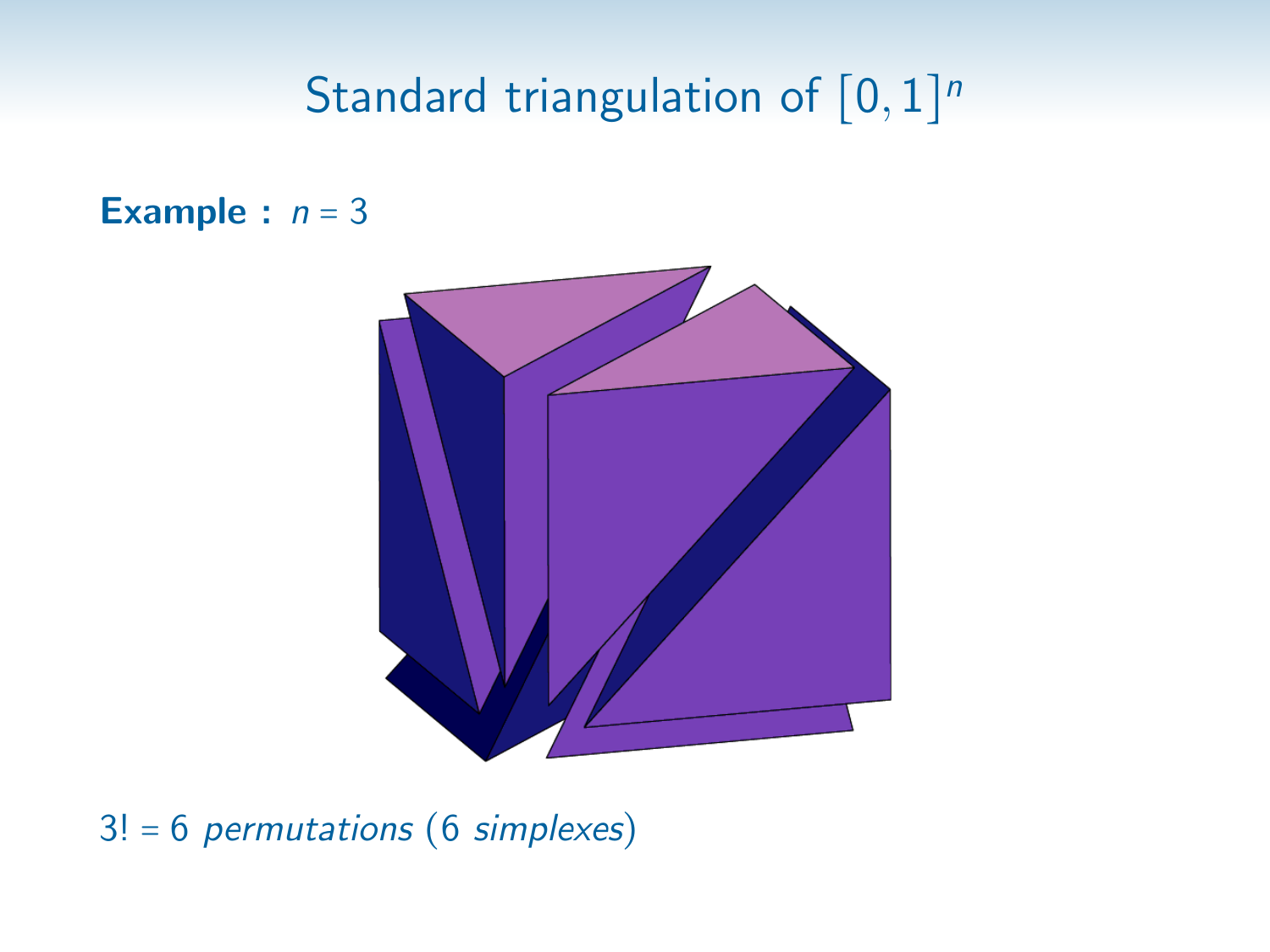# Standard triangulation of  $[0,1]^n$

### Example :  $n = 3$



 $3! = 6$  permutations (6 simplexes)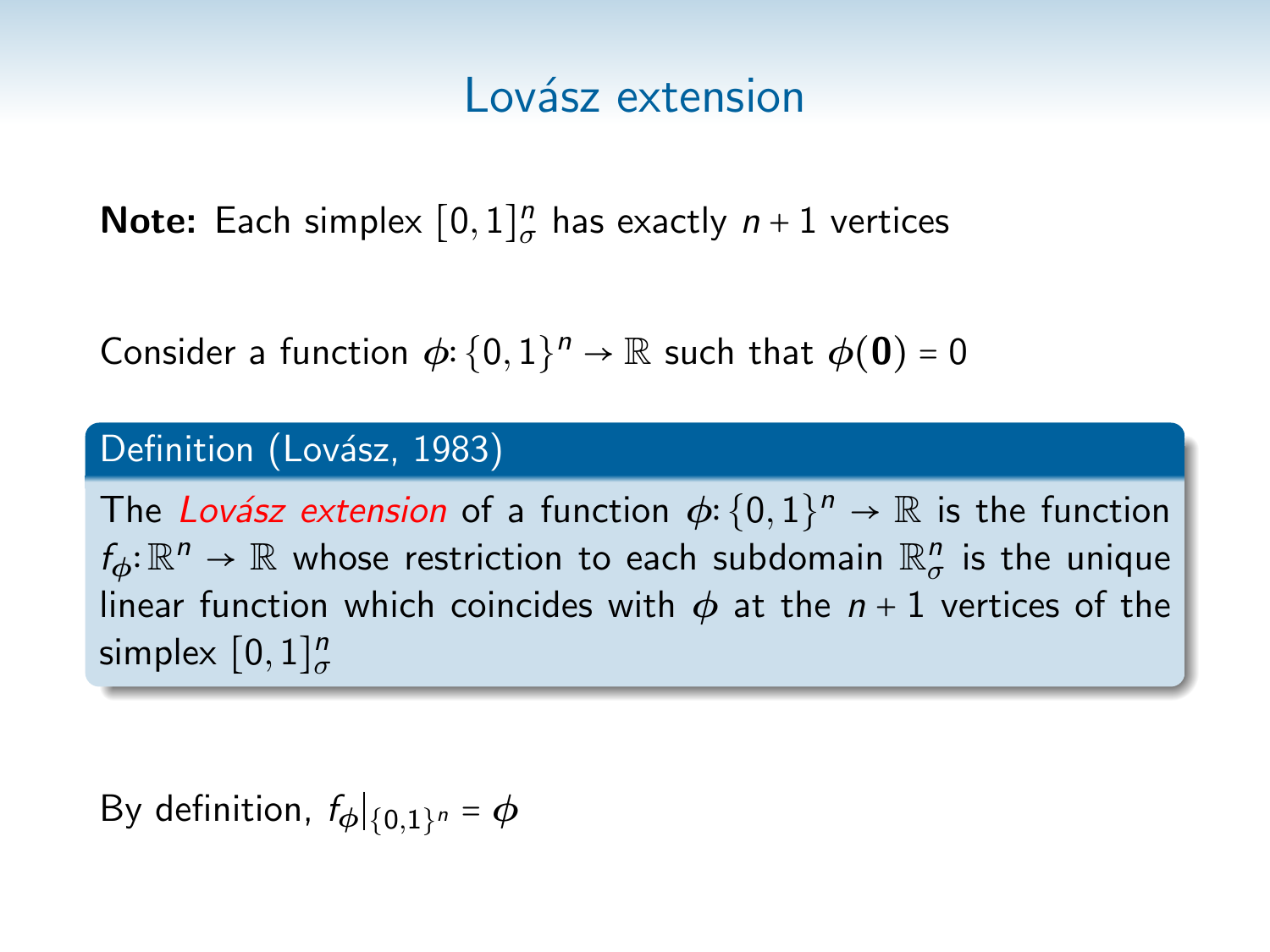**Note:** Each simplex  $[0,1]_{\sigma}^{n}$  has exactly  $n+1$  vertices

Consider a function  $\phi$ :  $\{0,1\}^n \to \mathbb{R}$  such that  $\phi(\mathbf{0}) = 0$ 

### Definition (Lovász, 1983)

The Lovász extension of a function  $\phi: \{0,1\}^n \to \mathbb{R}$  is the function  $f_{\phi} \colon \mathbb{R}^n \to \mathbb{R}$  whose restriction to each subdomain  $\mathbb{R}^n_{\sigma}$  is the unique linear function which coincides with  $\phi$  at the  $n+1$  vertices of the simplex  $[0,1]_{\sigma}^n$ 

By definition,  $f_{\boldsymbol{\phi}}|_{\{0,1\}^n} = \boldsymbol{\phi}$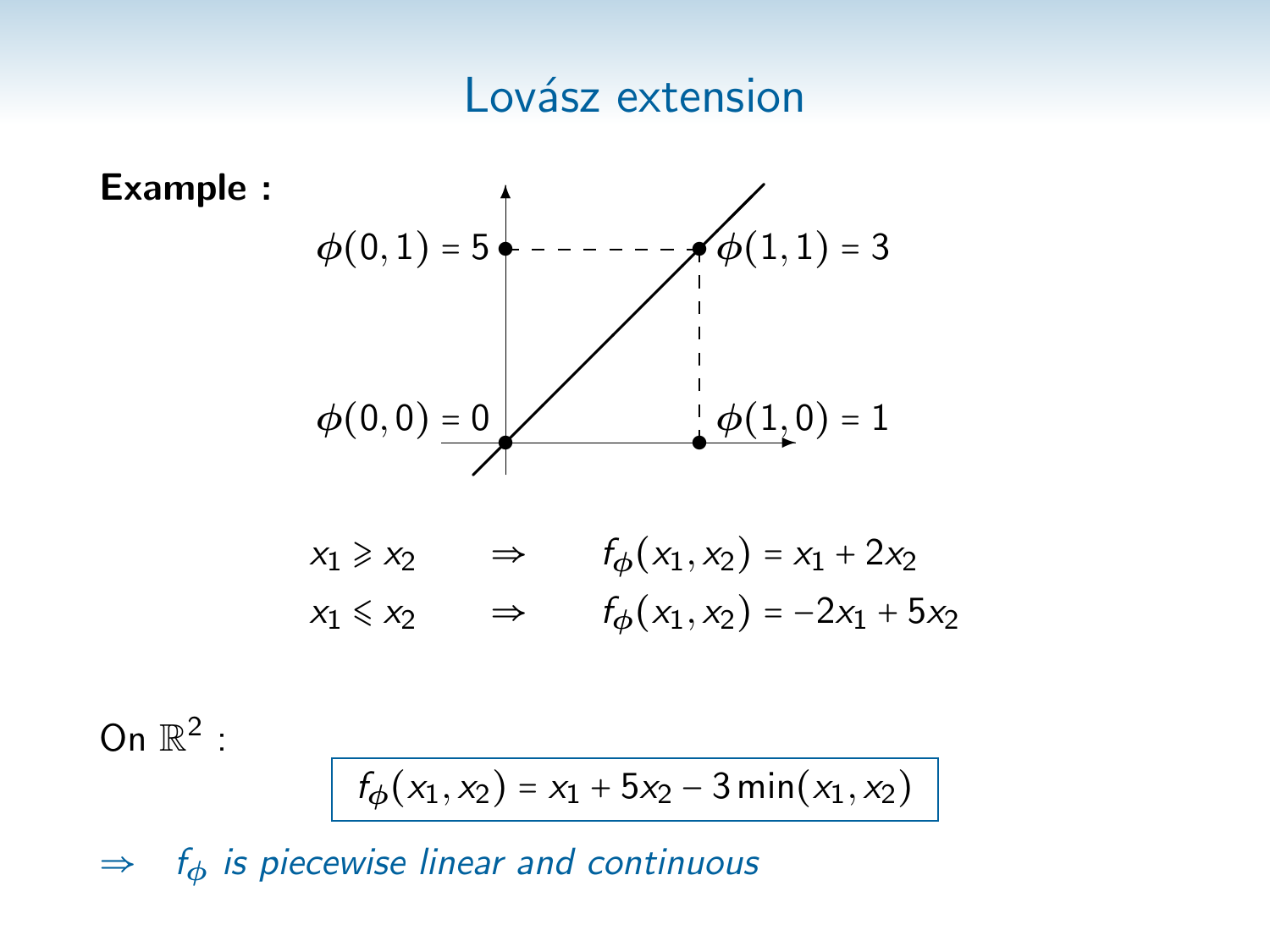



$$
x_1 \ge x_2 \qquad \Rightarrow \qquad f_{\phi}(x_1, x_2) = x_1 + 2x_2
$$
  

$$
x_1 \le x_2 \qquad \Rightarrow \qquad f_{\phi}(x_1, x_2) = -2x_1 + 5x_2
$$

On  $\mathbb{R}^2$  :

$$
f_{\phi}(x_1, x_2) = x_1 + 5x_2 - 3\min(x_1, x_2)
$$

 $\Rightarrow$  f<sub>φ</sub> is piecewise linear and continuous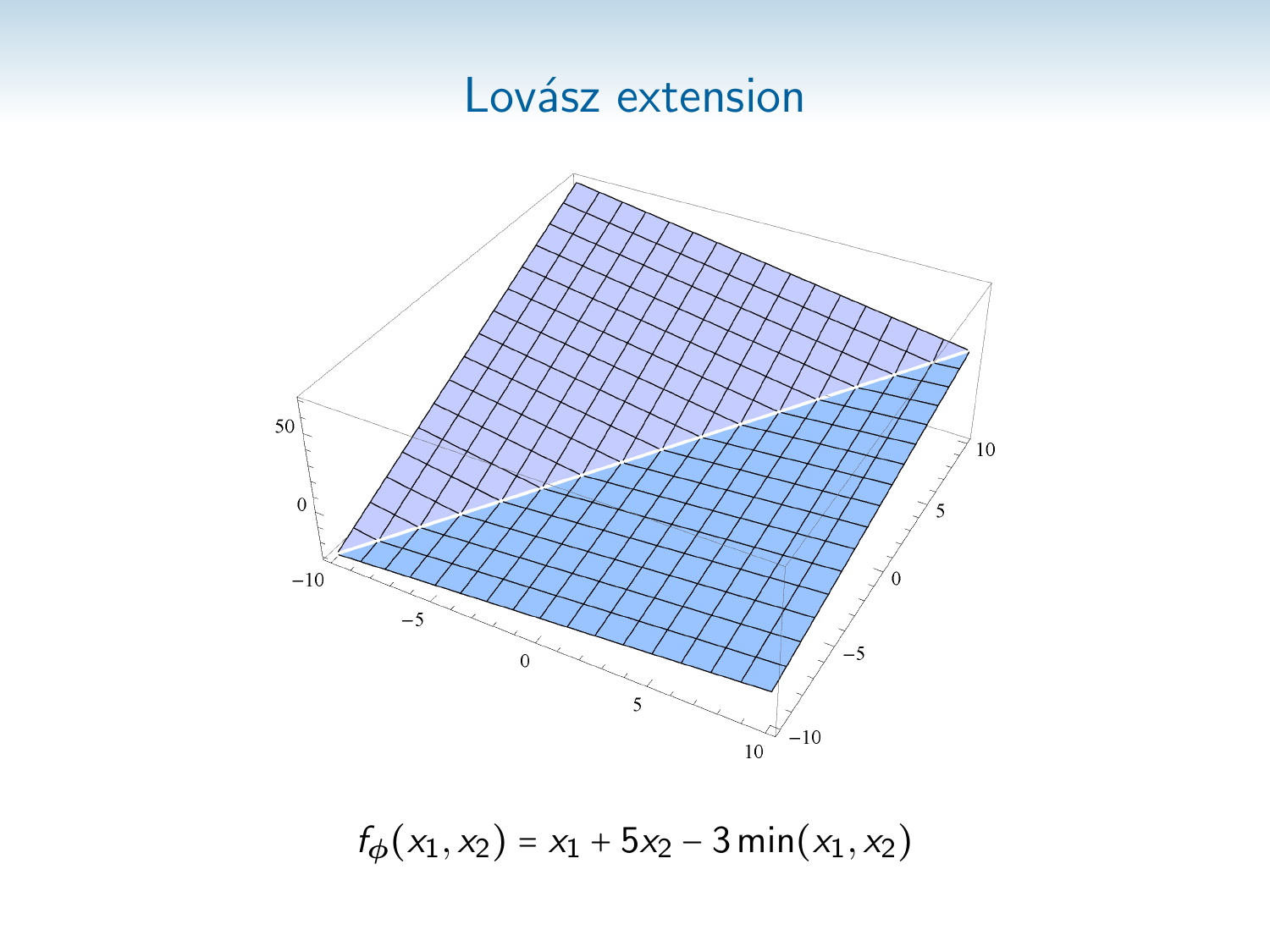

 $f_{\phi}(x_1, x_2) = x_1 + 5x_2 - 3 \min(x_1, x_2)$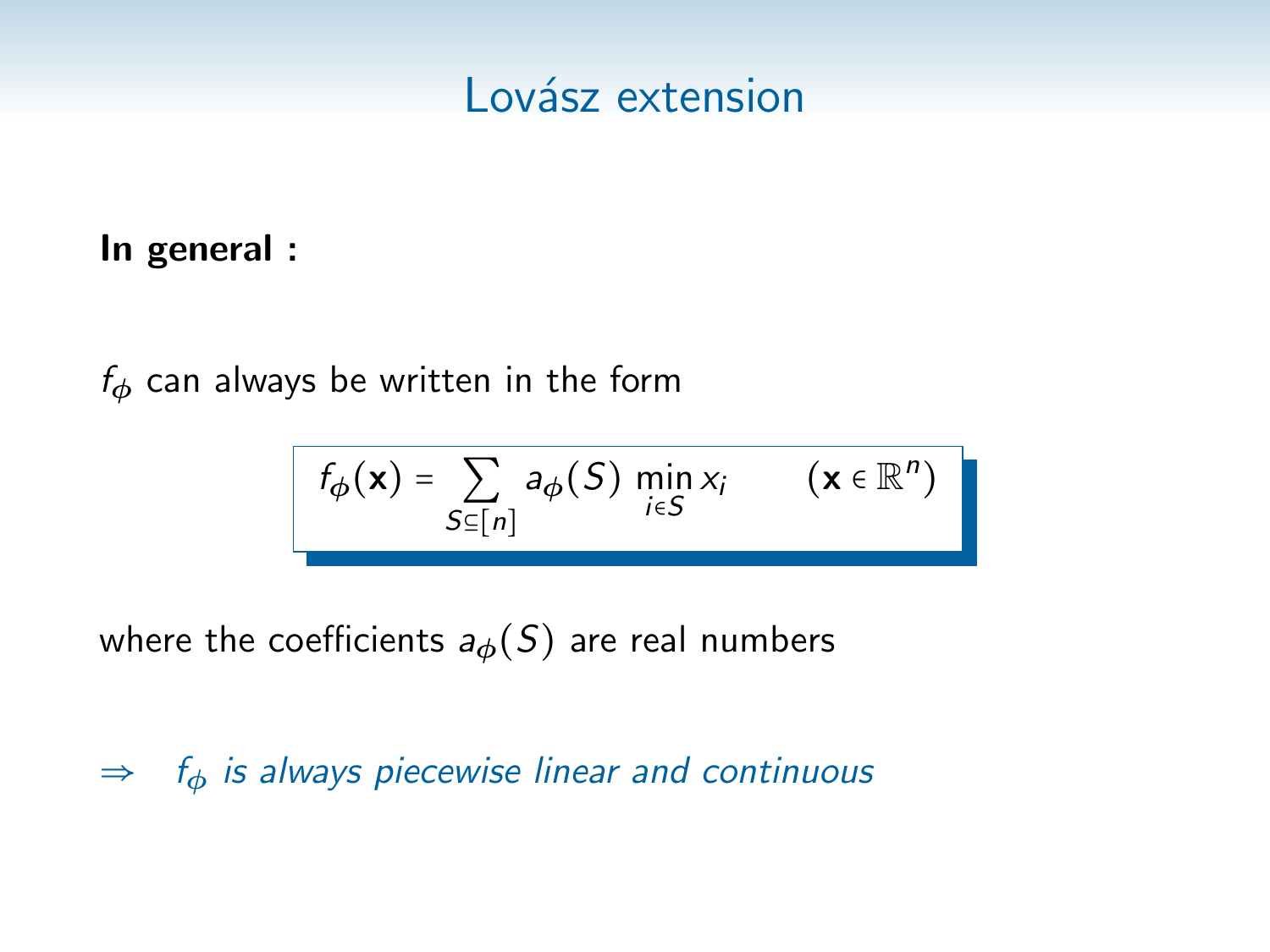### In general :

 $f_{\phi}$  can always be written in the form

$$
f_{\phi}(\mathbf{x}) = \sum_{S \subseteq [n]} a_{\phi}(S) \min_{i \in S} x_i \qquad (\mathbf{x} \in \mathbb{R}^n)
$$

where the coefficients  $a_{\phi}(S)$  are real numbers

 $\Rightarrow$  f<sub>φ</sub> is always piecewise linear and continuous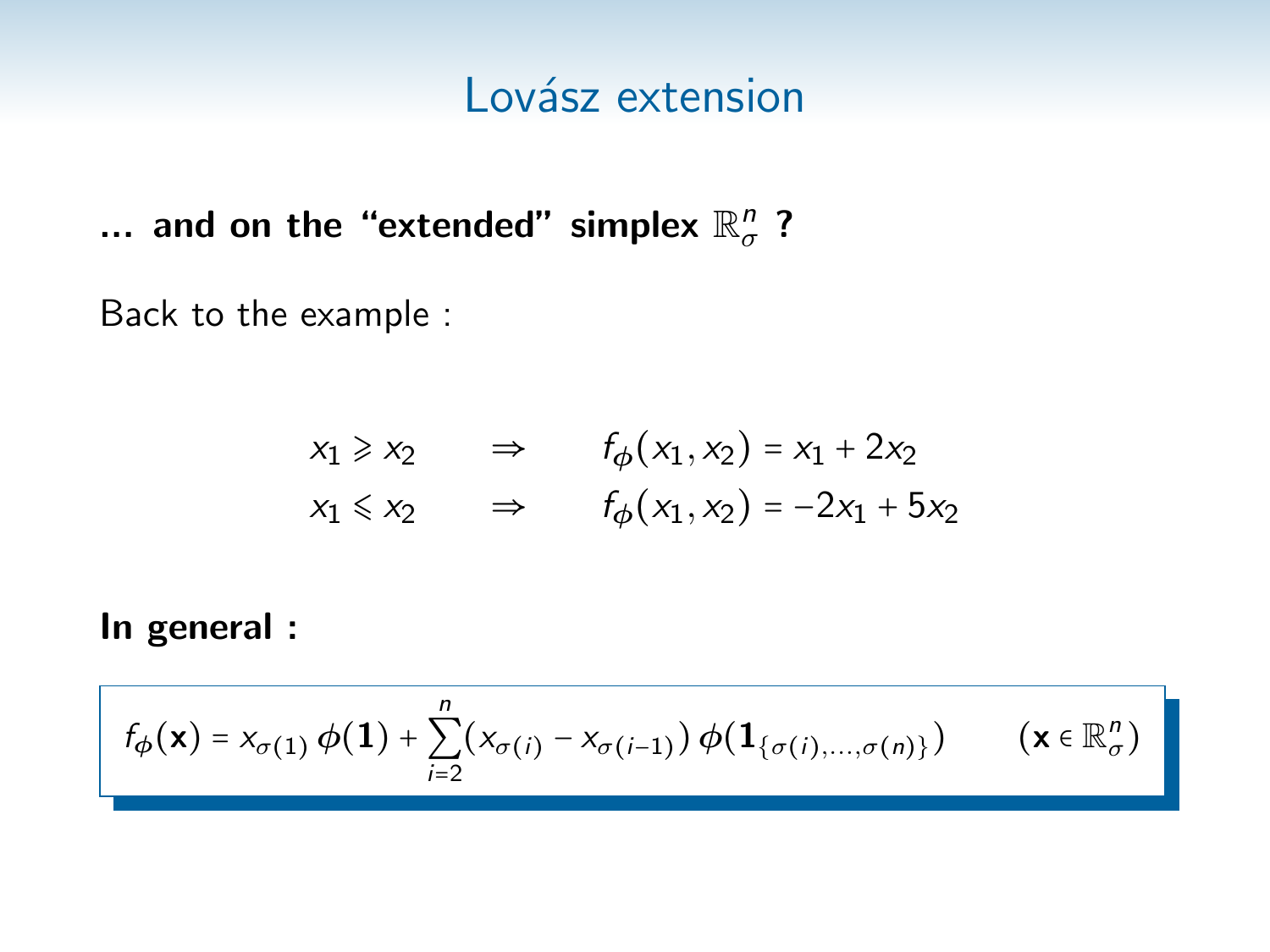... and on the "extended" simplex  $\mathbb{R}^n_\sigma$  ?

Back to the example :

$$
x_1 \ge x_2 \qquad \Rightarrow \qquad f_{\phi}(x_1, x_2) = x_1 + 2x_2
$$
  

$$
x_1 \le x_2 \qquad \Rightarrow \qquad f_{\phi}(x_1, x_2) = -2x_1 + 5x_2
$$

In general :

$$
f_{\phi}(\mathbf{x}) = x_{\sigma(1)} \phi(\mathbf{1}) + \sum_{i=2}^{n} (x_{\sigma(i)} - x_{\sigma(i-1)}) \phi(\mathbf{1}_{\{\sigma(i),\dots,\sigma(n)\}}) \qquad (\mathbf{x} \in \mathbb{R}_{\sigma}^{n})
$$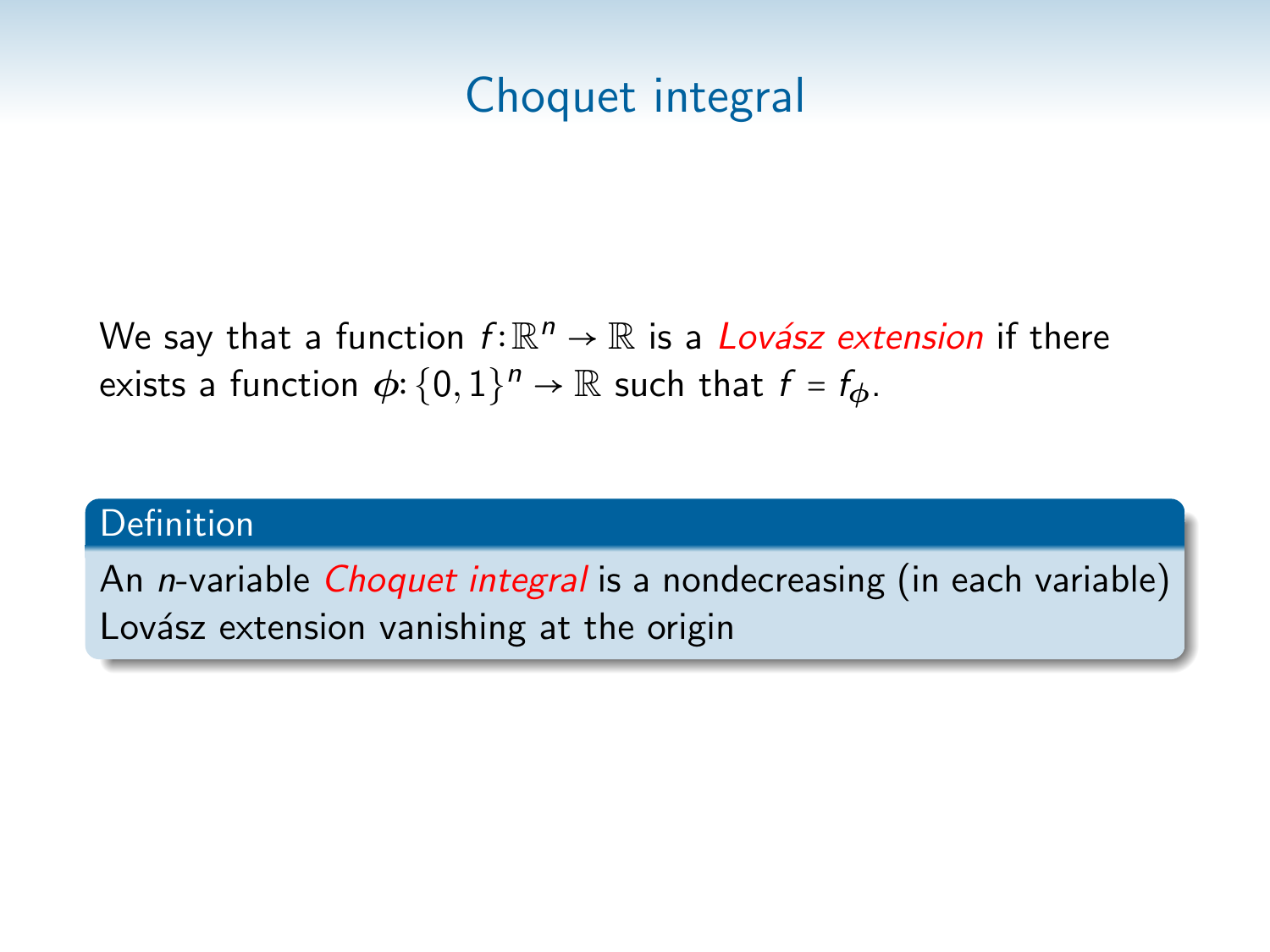# Choquet integral

We say that a function  $f{:}\mathbb{R}^n \to \mathbb{R}$  is a *Lovász extension* if there exists a function  $\phi: \{0,1\}^n \to \mathbb{R}$  such that  $f = f_{\phi}$ .

#### Definition

An *n*-variable *Choquet integral* is a nondecreasing (in each variable) Lovász extension vanishing at the origin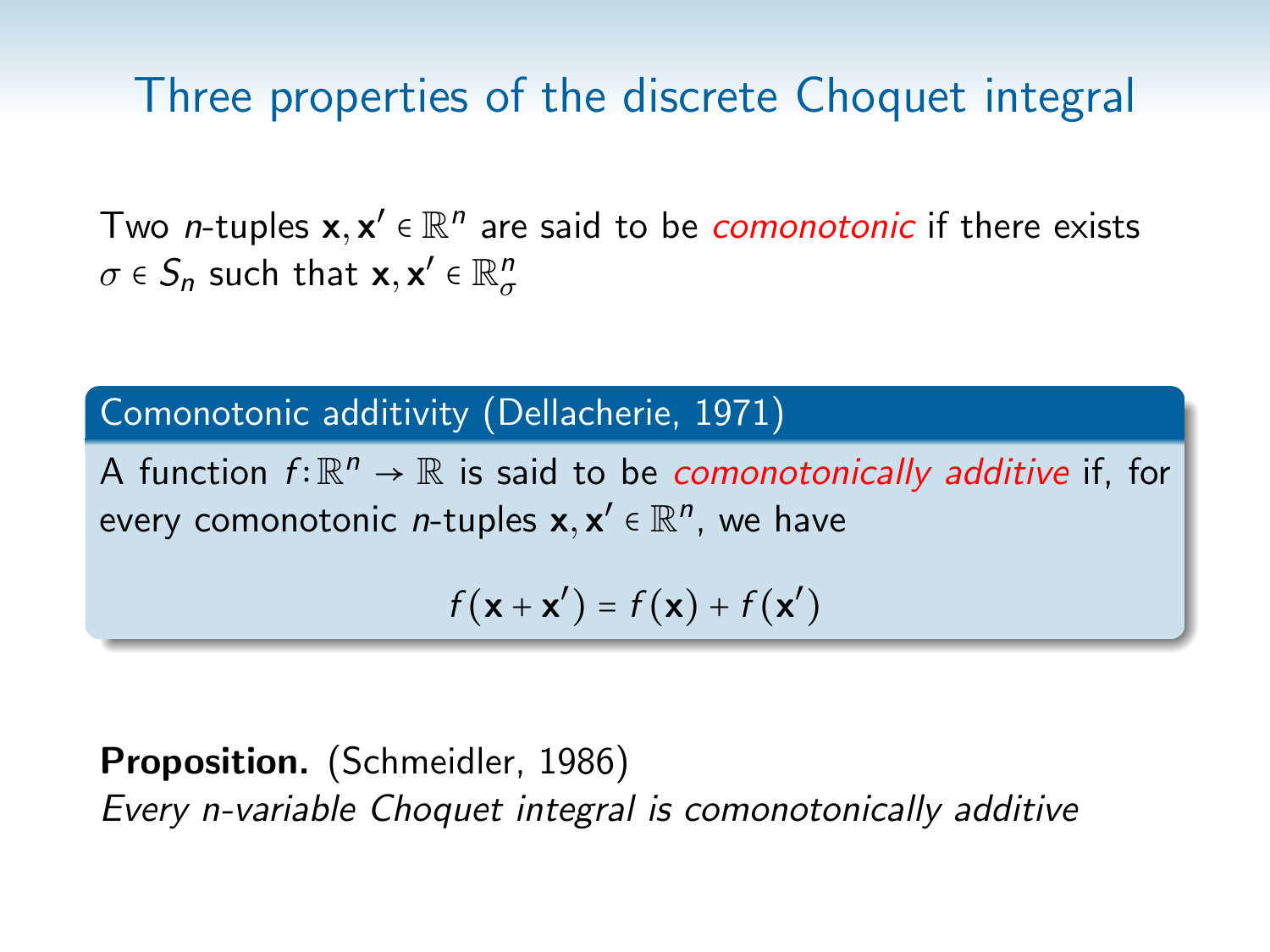Two n-tuples  $\mathbf{x},\mathbf{x}'\in\mathbb{R}^n$  are said to be *comonotonic* if there exists  $\sigma \in S_n$  such that  $\mathbf{x}, \mathbf{x}' \in \mathbb{R}^n_\sigma$ 

### Comonotonic additivity (Dellacherie, 1971)

A function  $f: \mathbb{R}^n \to \mathbb{R}$  is said to be *comonotonically additive* if, for every comonotonic *n*-tuples  $\textbf{x},\textbf{x}'\in\mathbb{R}^n$ , we have

$$
f(\mathbf{x} + \mathbf{x}') = f(\mathbf{x}) + f(\mathbf{x}')
$$

Proposition. (Schmeidler, 1986) Every n-variable Choquet integral is comonotonically additive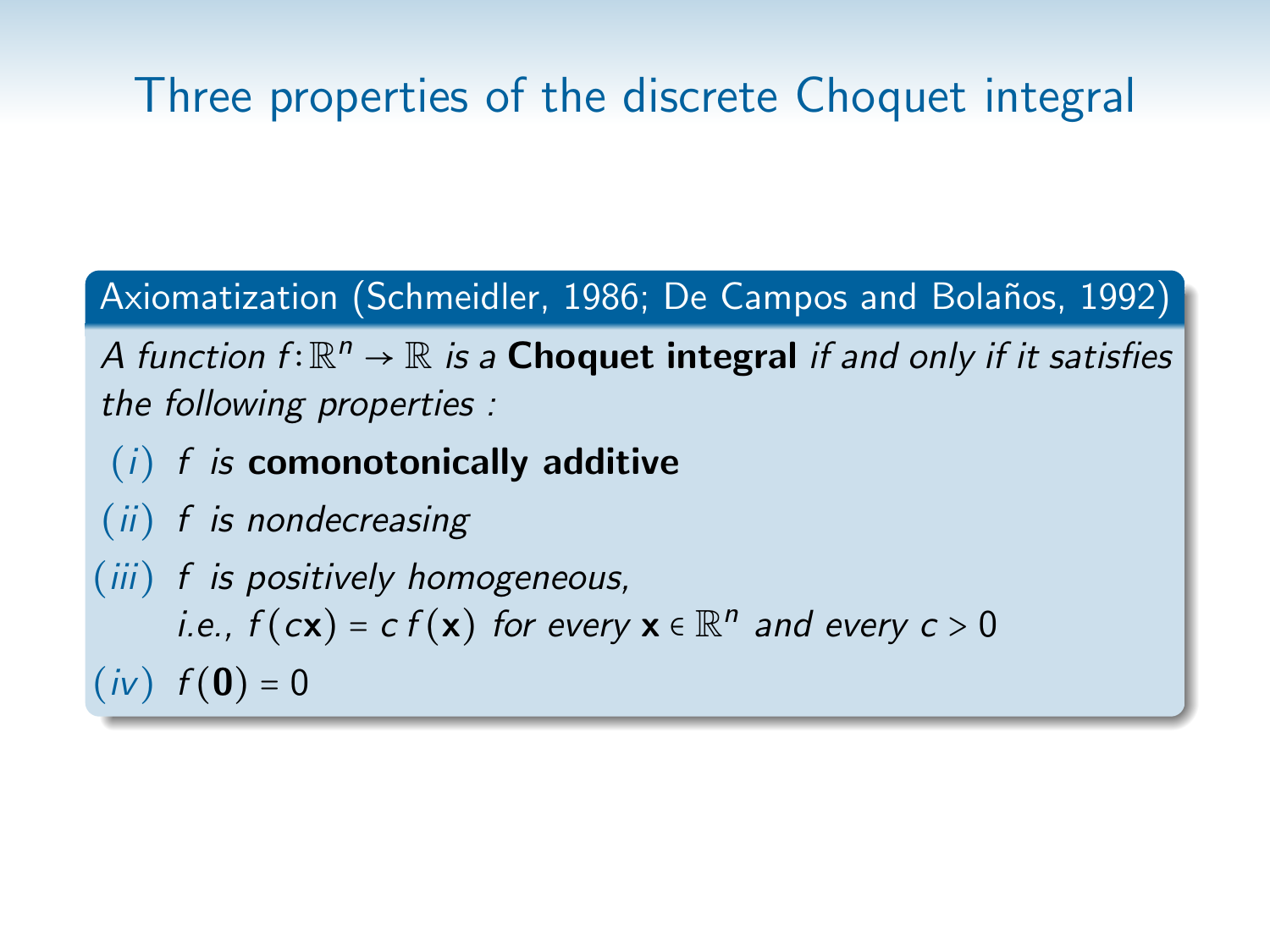Axiomatization (Schmeidler, 1986; De Campos and Bolaños, 1992)

A function  $f: \mathbb{R}^n \to \mathbb{R}$  is a **Choquet integral** if and only if it satisfies the following properties :

- $(i)$  f is comonotonically additive
- (ii) f is nondecreasing

(iii) f is positively homogeneous, i.e.,  $f(cx) = c f(x)$  for every  $x \in \mathbb{R}^n$  and every  $c > 0$  $(iv)$   $f(0) = 0$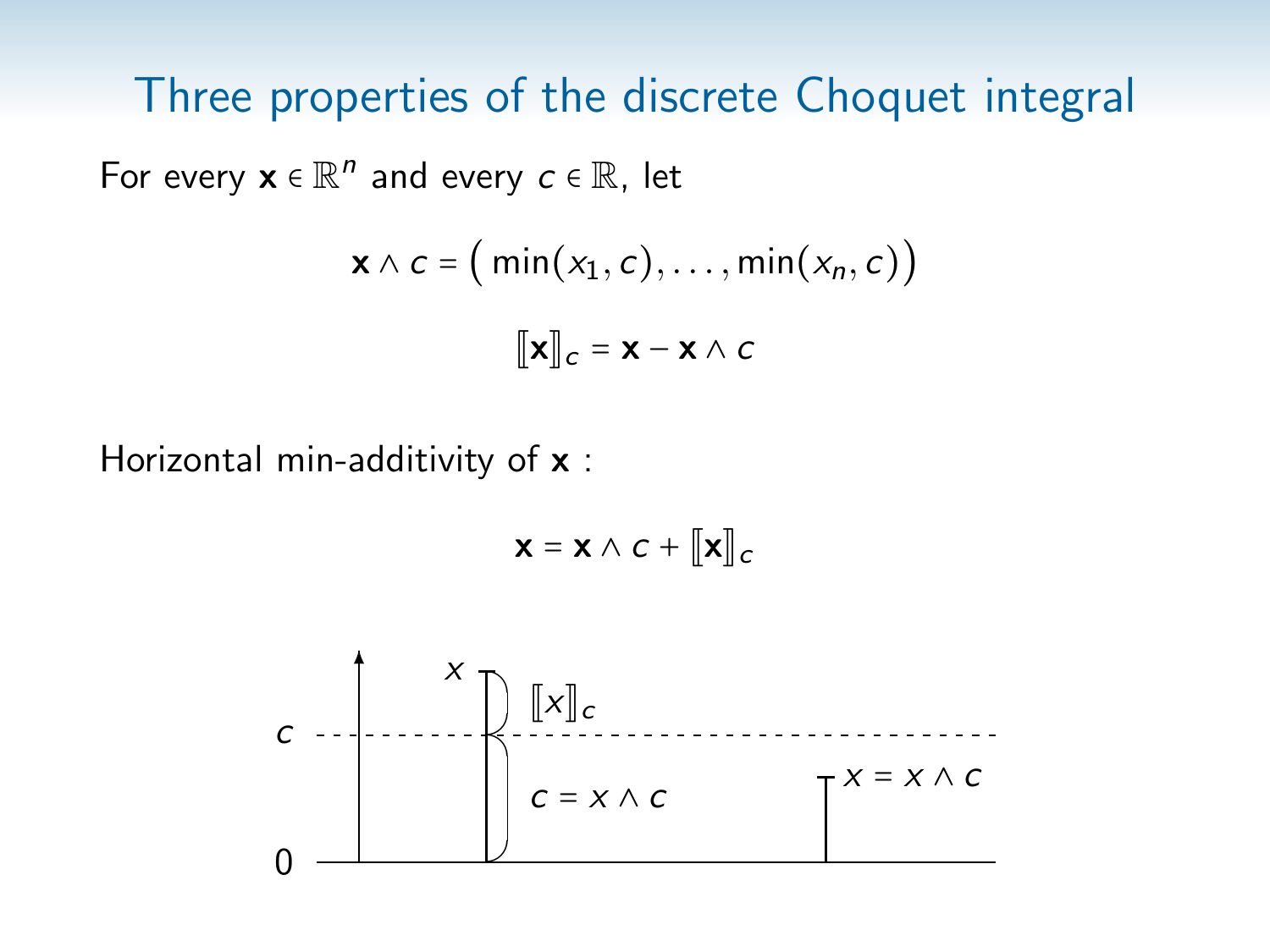For every  $\mathbf{x} \in \mathbb{R}^n$  and every  $c \in \mathbb{R}$ , let

$$
\mathbf{x} \wedge c = (\min(x_1, c), \dots, \min(x_n, c))
$$

$$
\llbracket \mathbf{x} \rrbracket_c = \mathbf{x} - \mathbf{x} \wedge c
$$

Horizontal min-additivity of x :

$$
\mathbf{x} = \mathbf{x} \wedge c + [\![\mathbf{x}]\!]_c
$$

$$
c \frac{x}{\sqrt{\sum_{i=1}^{n} [x]_c}}
$$
  
0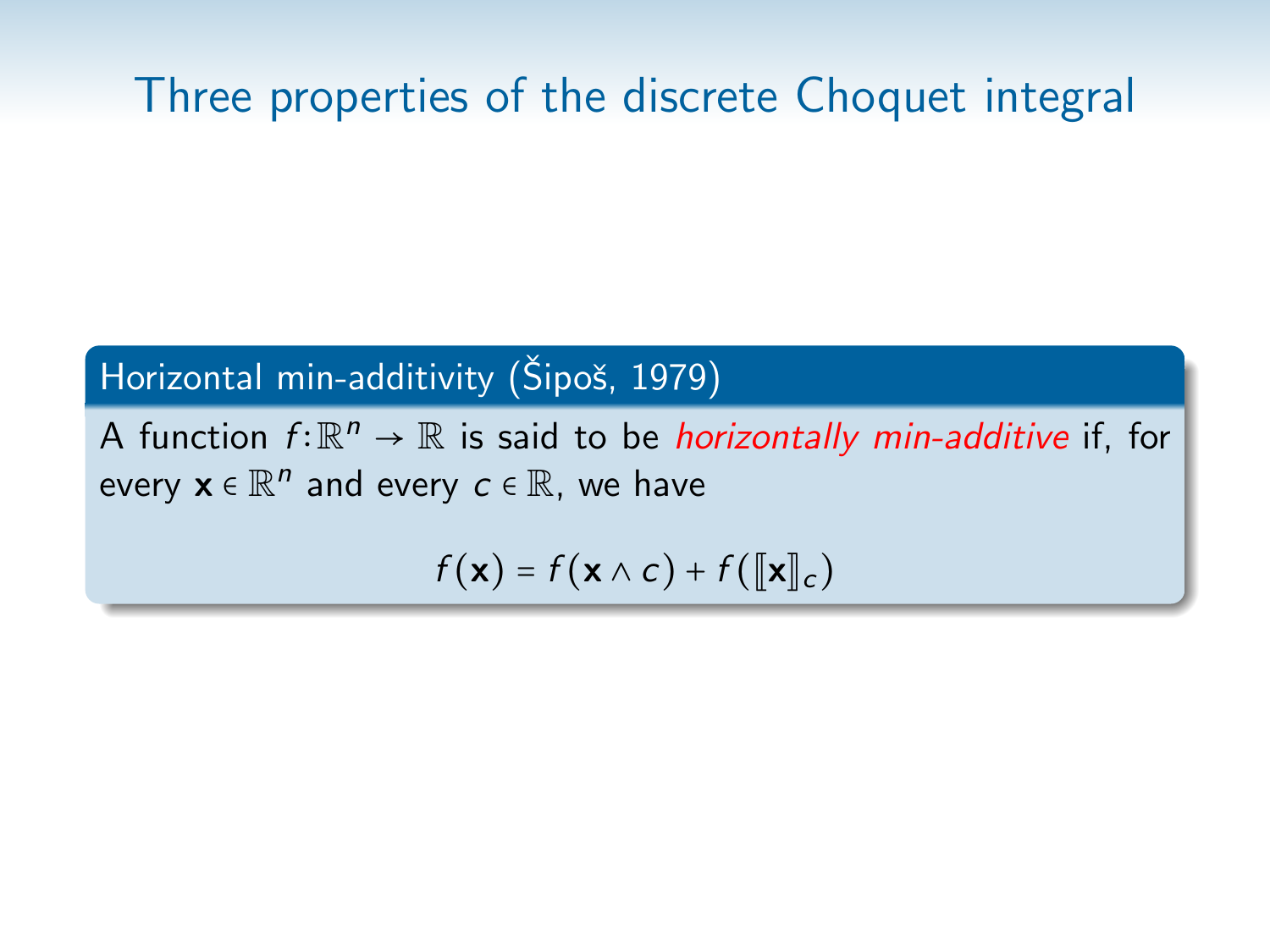Horizontal min-additivity (Šipoš, 1979)

A function  $f: \mathbb{R}^n \to \mathbb{R}$  is said to be *horizontally min-additive* if, for every  $\mathbf{x} \in \mathbb{R}^n$  and every  $c \in \mathbb{R}$ , we have

 $f(\mathbf{x}) = f(\mathbf{x} \wedge c) + f(\Vert \mathbf{x} \Vert_c)$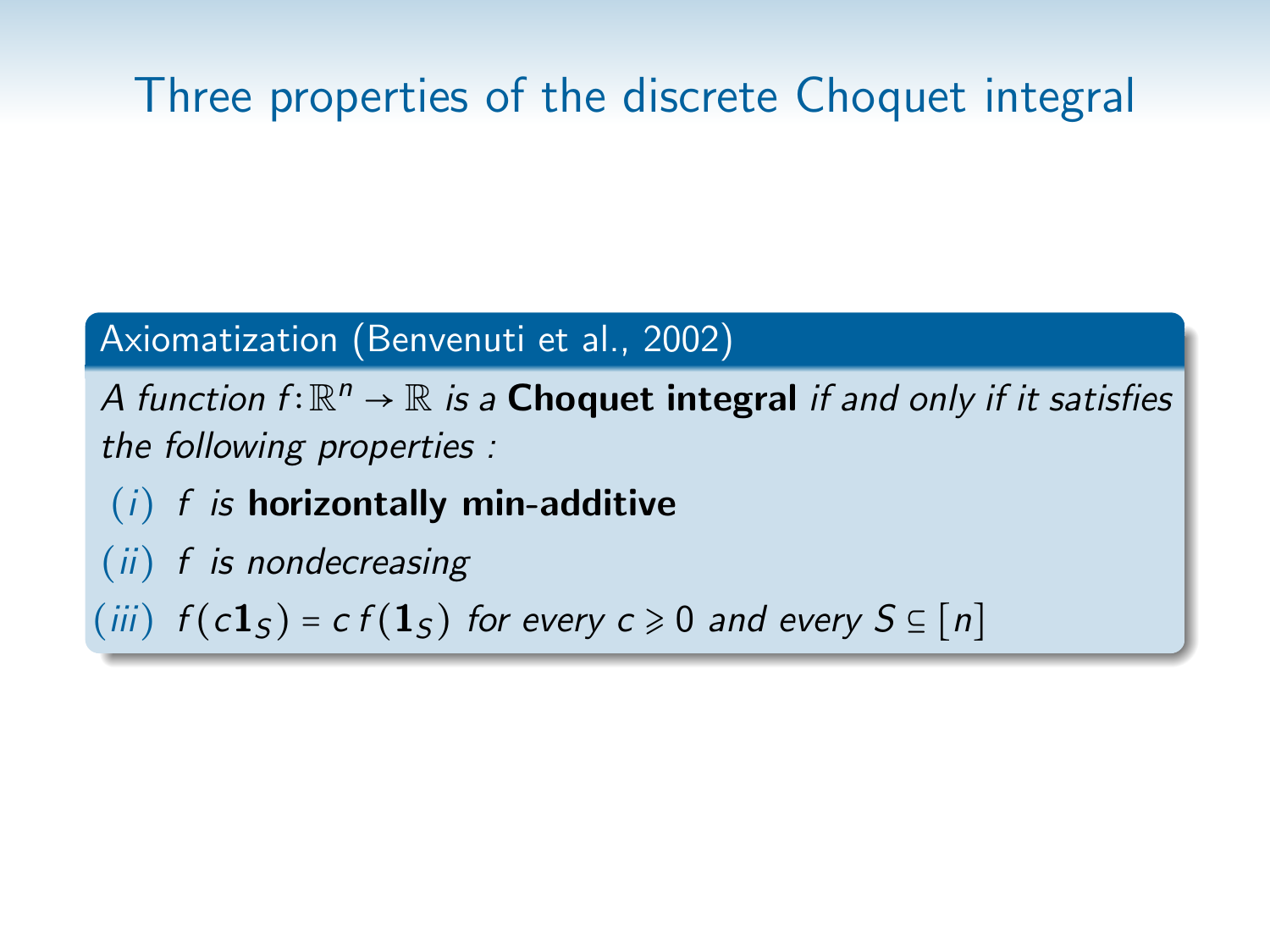### Axiomatization (Benvenuti et al., 2002)

A function  $f: \mathbb{R}^n \to \mathbb{R}$  is a **Choquet integral** if and only if it satisfies the following properties :

- $(i)$  f is horizontally min-additive
- $(ii)$  f is nondecreasing

(iii)  $f(c1<sub>S</sub>) = cf(1<sub>S</sub>)$  for every  $c \ge 0$  and every  $S \subseteq [n]$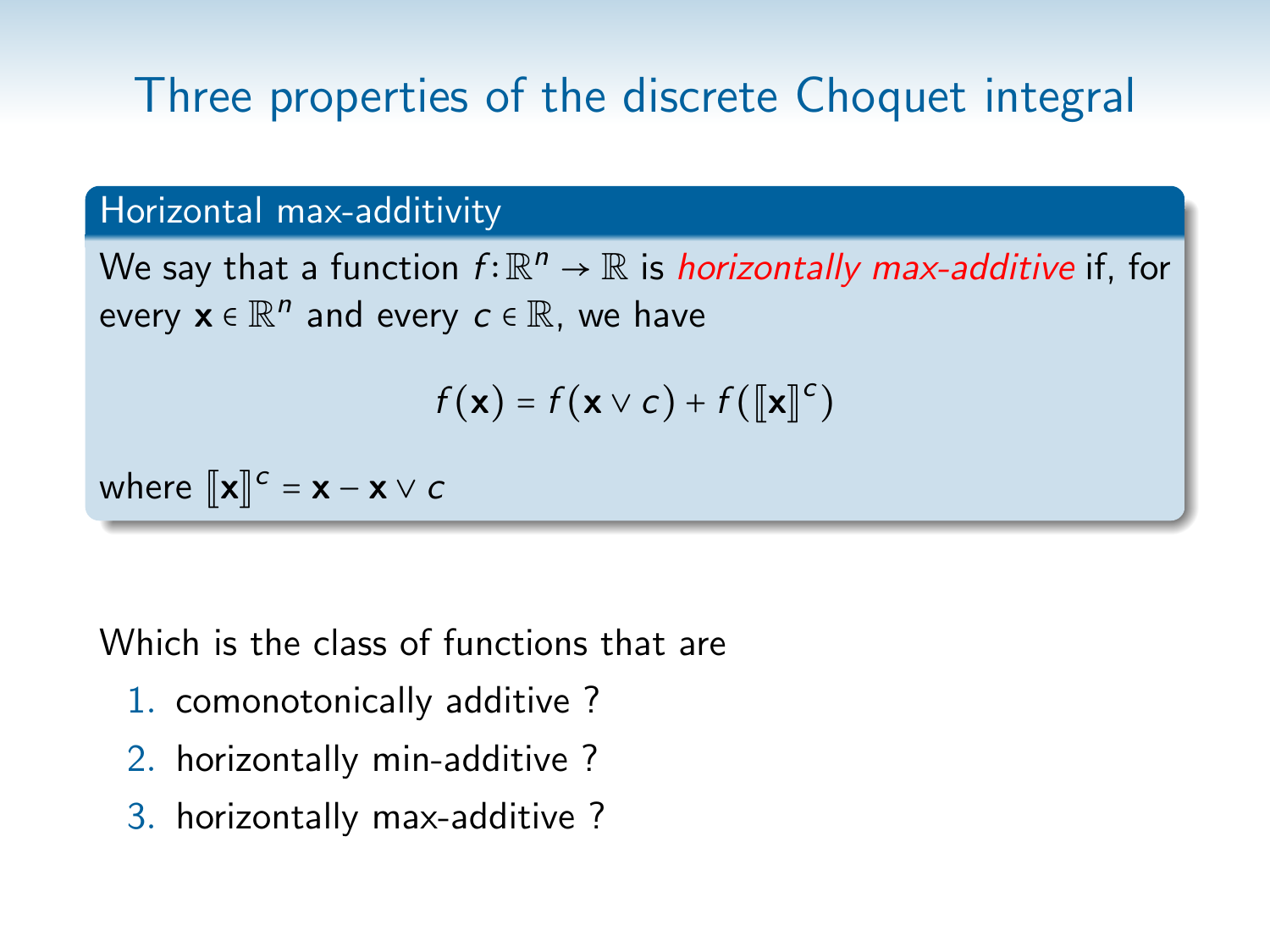### Horizontal max-additivity

We say that a function  $f{:}\mathbb{R}^n\to\mathbb{R}$  is *horizontally max-additive* if, for every  $\mathbf{x} \in \mathbb{R}^n$  and every  $c \in \mathbb{R}$ , we have

$$
f(\mathbf{x}) = f(\mathbf{x} \vee c) + f([\![\mathbf{x}]\!]^c)
$$

where  $[\![\mathbf{x}]\!]^c = \mathbf{x} - \mathbf{x} \vee c$ 

Which is the class of functions that are

- 1. comonotonically additive ?
- 2. horizontally min-additive ?
- 3. horizontally max-additive ?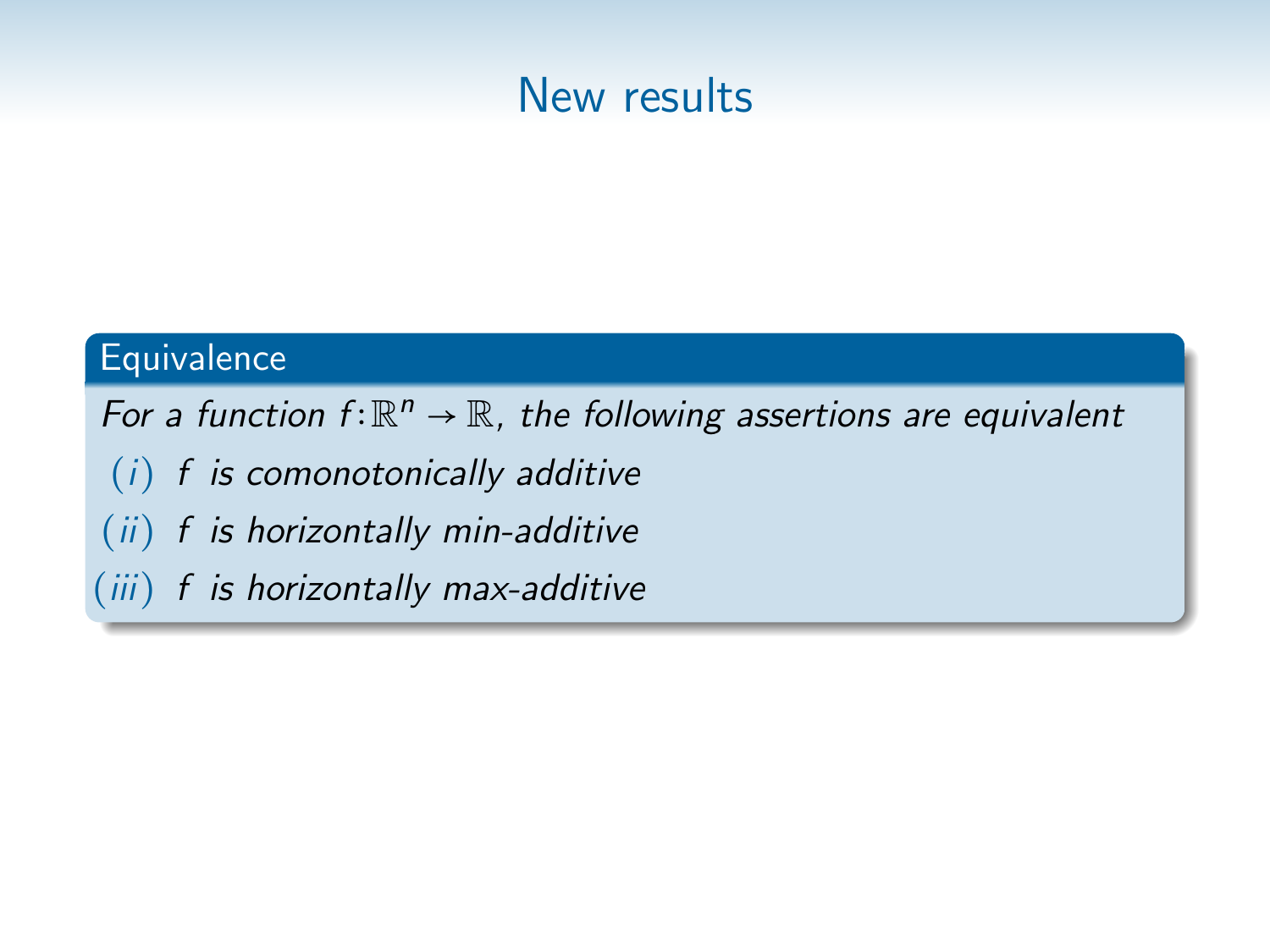

#### **Equivalence**

For a function  $f: \mathbb{R}^n \to \mathbb{R}$ , the following assertions are equivalent

- (i) f is comonotonically additive
- $(ii)$  f is horizontally min-additive
- (iii) f is horizontally max-additive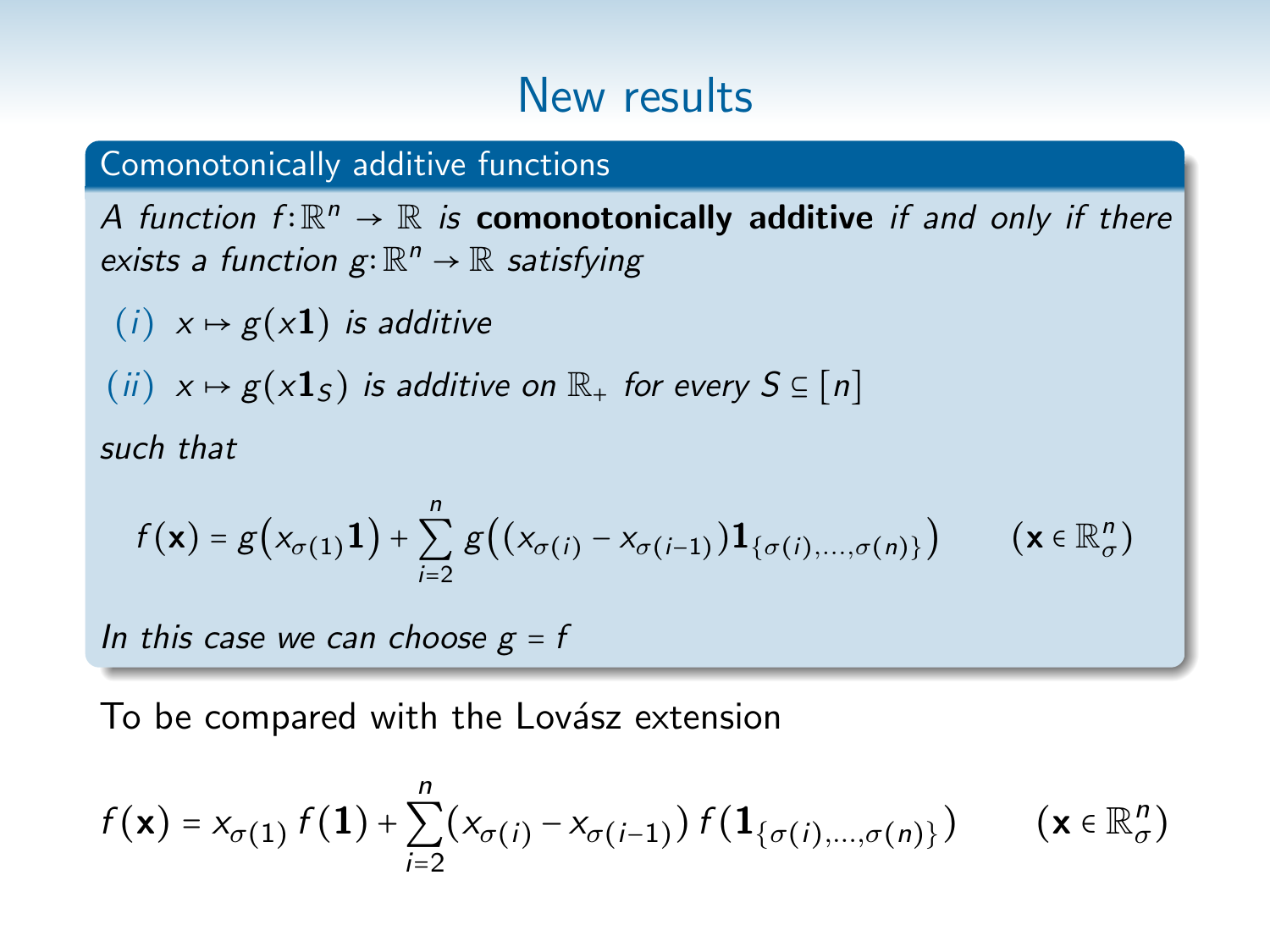#### Comonotonically additive functions

A function  $f: \mathbb{R}^n \to \mathbb{R}$  is **comonotonically additive** if and only if there exists a function  $g: \mathbb{R}^n \to \mathbb{R}$  satisfying

 $(i)$   $x \mapsto g(x1)$  is additive

 $(ii)$   $x \mapsto g(x1<sub>S</sub>)$  is additive on  $\mathbb{R}_+$  for every  $S \subseteq [n]$ 

such that

$$
f(\mathbf{x}) = g\big(x_{\sigma(1)}\mathbf{1}\big) + \sum_{i=2}^n g\big((x_{\sigma(i)} - x_{\sigma(i-1)})\mathbf{1}_{\{\sigma(i),\dots,\sigma(n)\}}\big) \qquad (\mathbf{x} \in \mathbb{R}^n_{\sigma})
$$

In this case we can choose  $g = f$ 

To be compared with the Lovász extension

$$
f(\mathbf{x}) = x_{\sigma(1)} f(1) + \sum_{i=2}^{n} (x_{\sigma(i)} - x_{\sigma(i-1)}) f(1_{\{\sigma(i),...,\sigma(n)\}})
$$
 (  $\mathbf{x} \in \mathbb{R}_{\sigma}^{n}$ )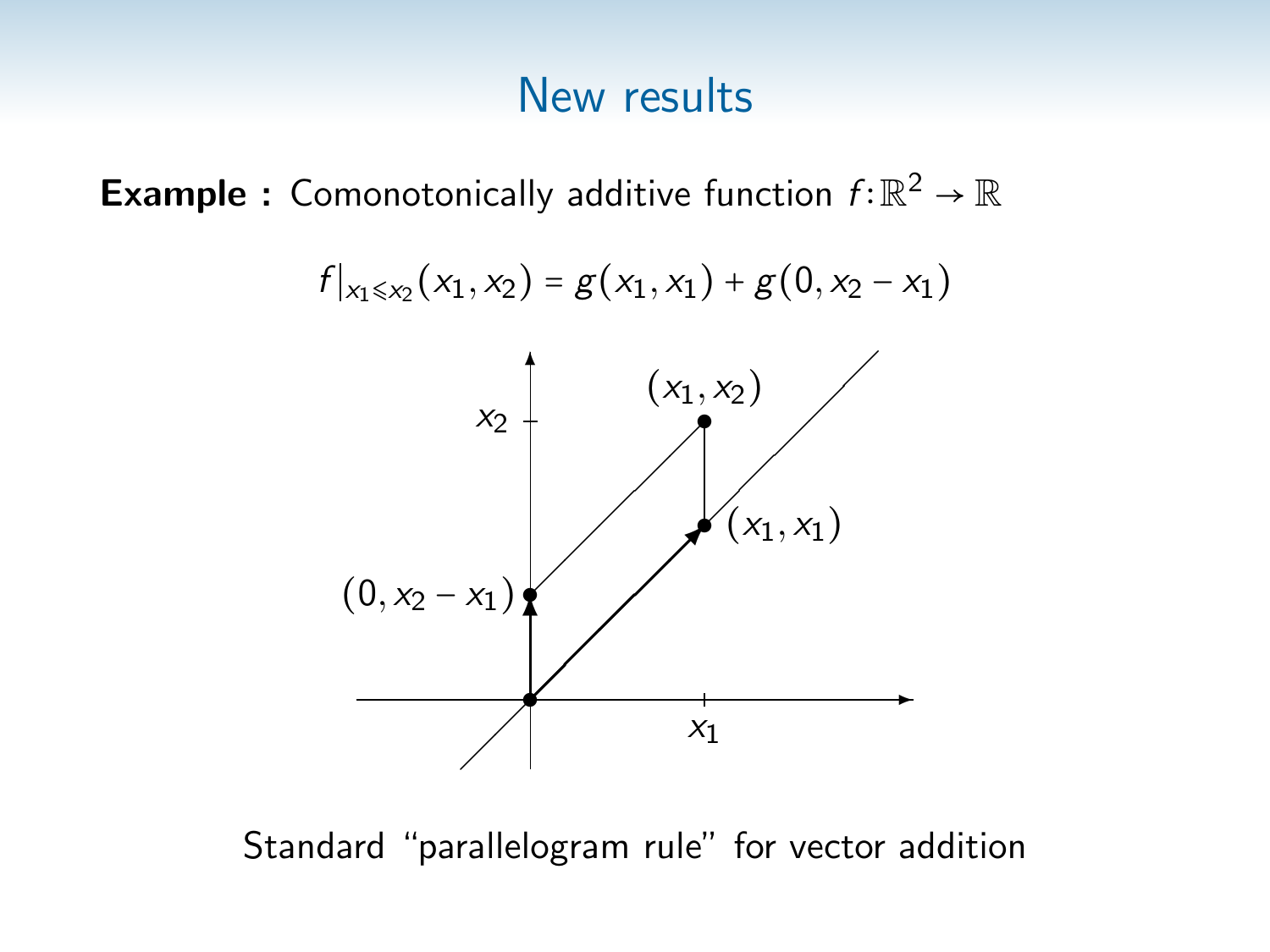**Example :** Comonotonically additive function  $f: \mathbb{R}^2 \to \mathbb{R}$ 



Standard "parallelogram rule" for vector addition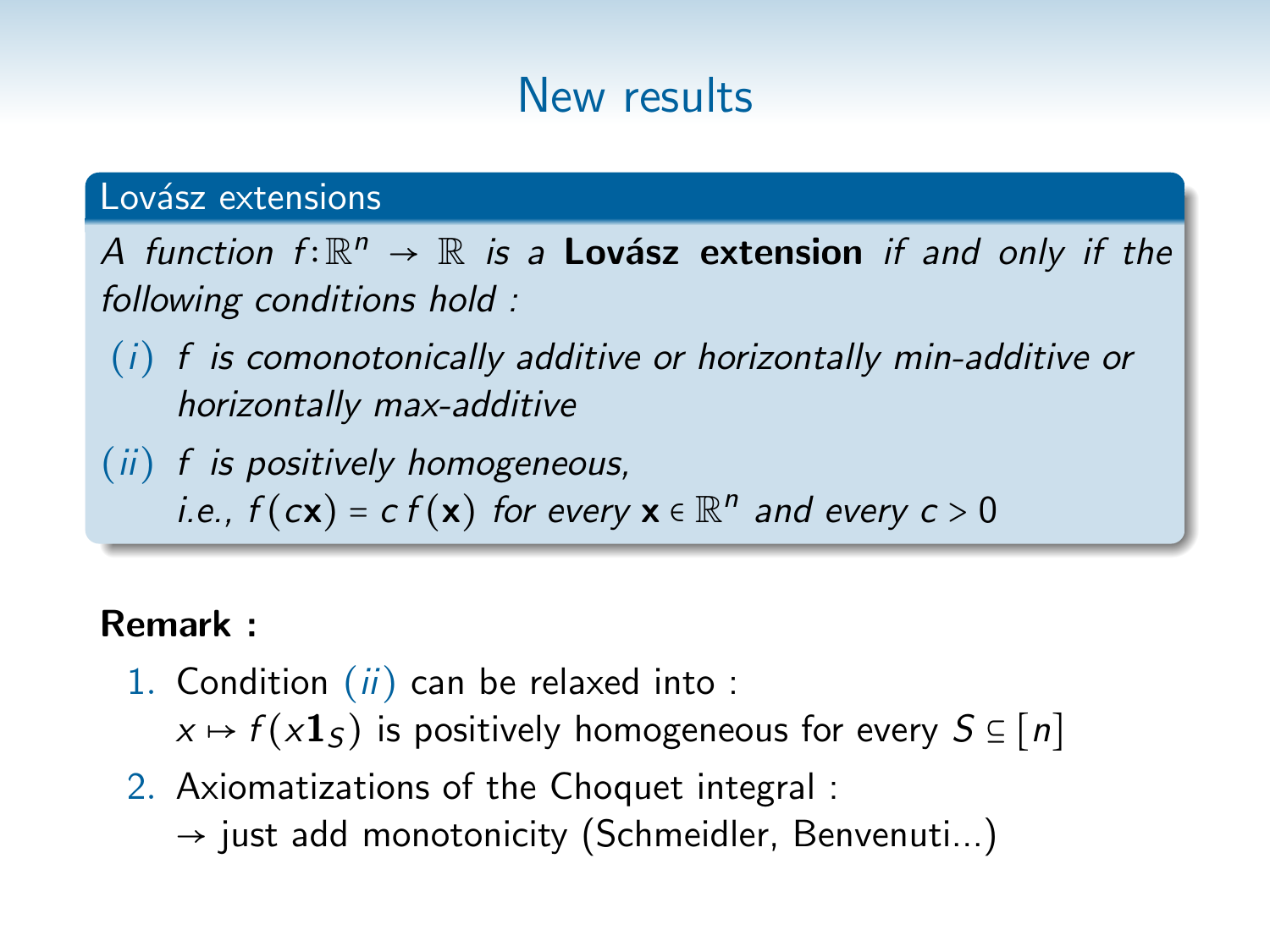### Lovász extensions

A function  $f: \mathbb{R}^n \to \mathbb{R}$  is a **Lovász extension** if and only if the following conditions hold :

- $(i)$  f is comonotonically additive or horizontally min-additive or horizontally max-additive
- (ii) f is positively homogeneous, i.e.,  $f(cx) = c f(x)$  for every  $x \in \mathbb{R}^n$  and every  $c > 0$

### Remark :

- 1. Condition  $(ii)$  can be relaxed into:  $x \mapsto f(x\mathbf{1}_S)$  is positively homogeneous for every  $S \subseteq [n]$
- 2. Axiomatizations of the Choquet integral :
	- $\rightarrow$  just add monotonicity (Schmeidler, Benvenuti...)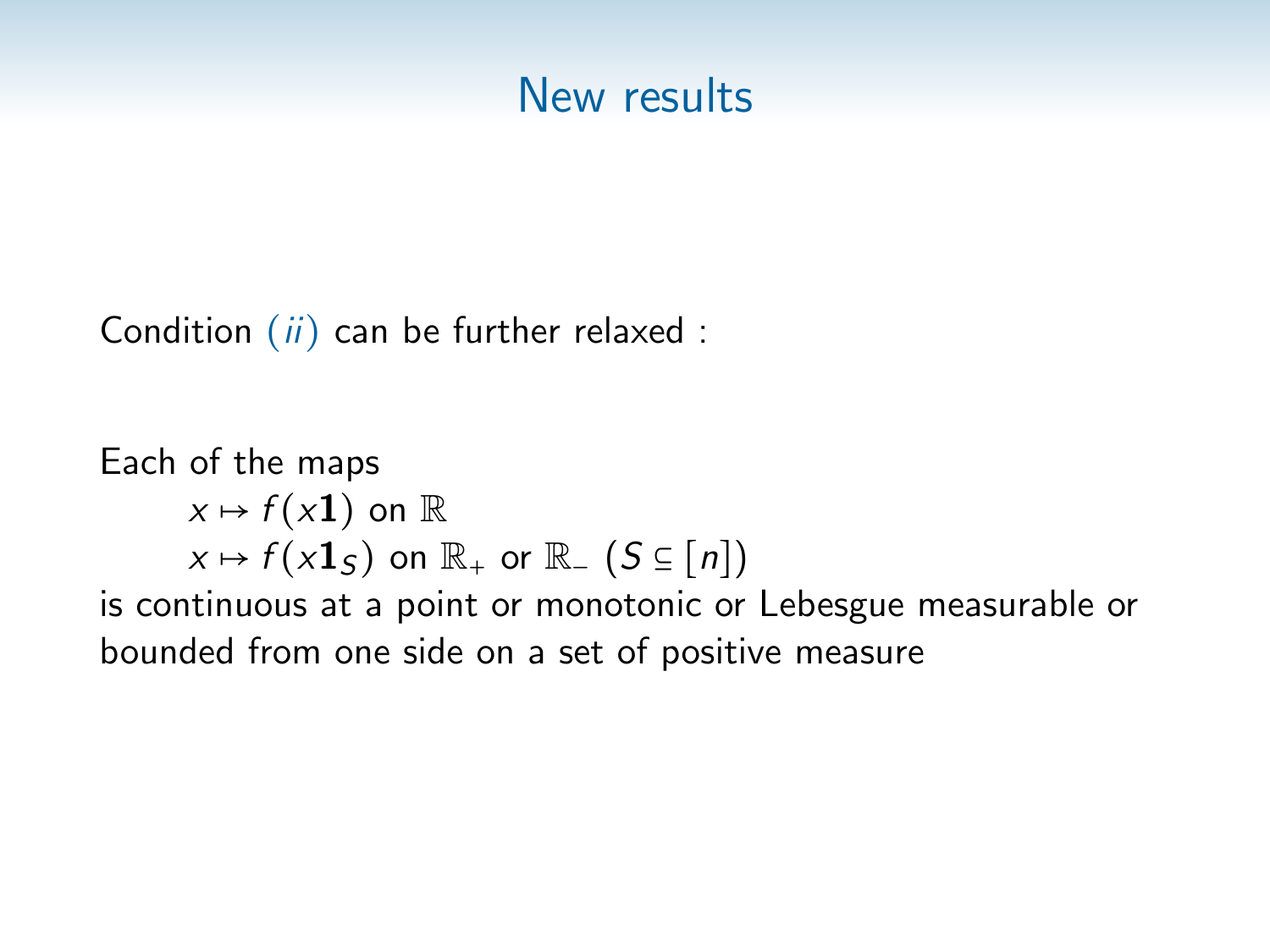Condition  $(ii)$  can be further relaxed :

```
Each of the maps
      x \mapsto f(x1) on \mathbb Rx \mapsto f(x\mathbf{1}_S) on \mathbb{R}_+ or \mathbb{R}_- (S \subseteq [n])is continuous at a point or monotonic or Lebesgue measurable or
bounded from one side on a set of positive measure
```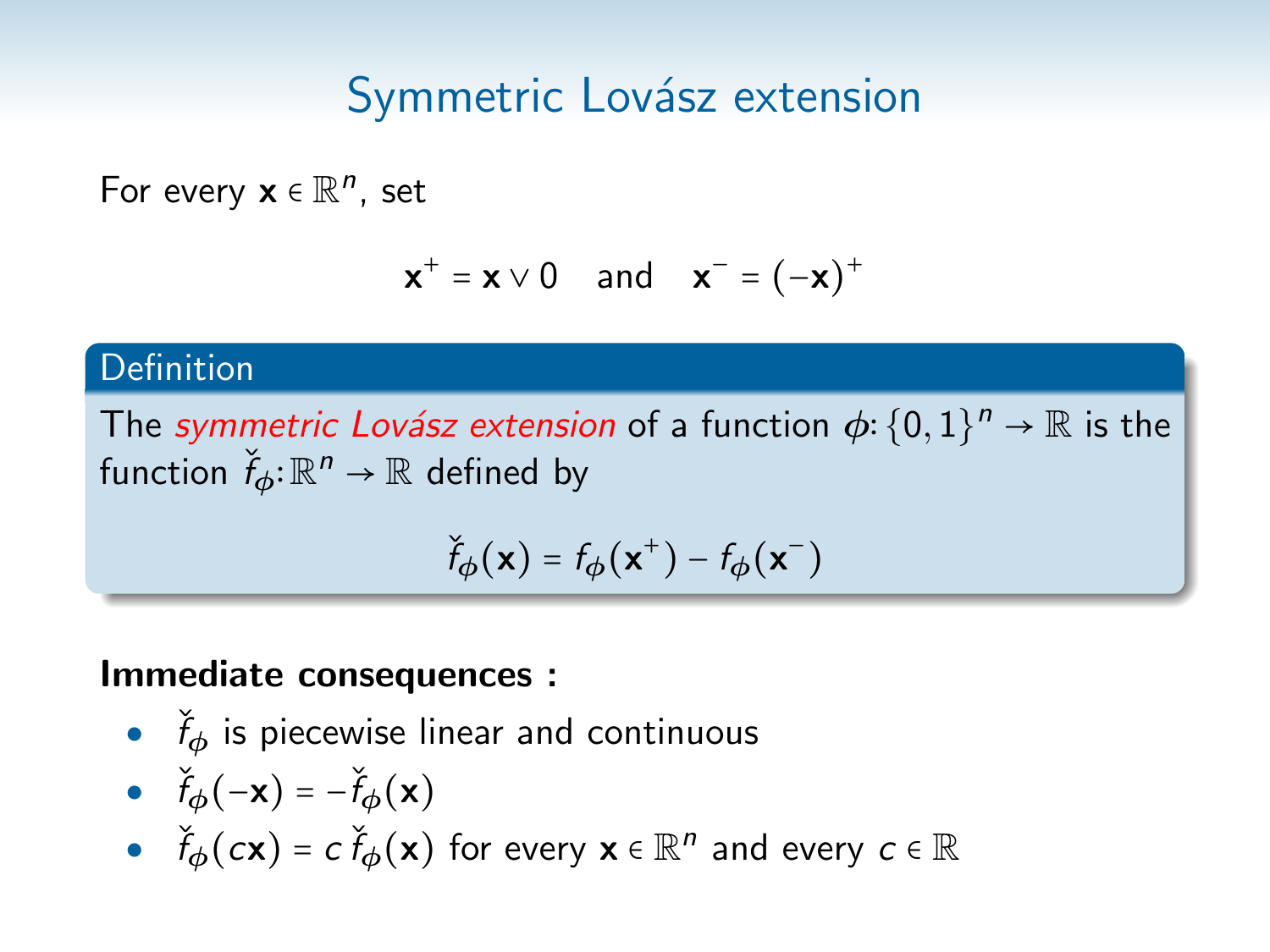For every  $\mathbf{x} \in \mathbb{R}^n$ , set

$$
\mathbf{x}^+ = \mathbf{x} \vee 0 \quad \text{and} \quad \mathbf{x}^- = (-\mathbf{x})^+
$$

### Definition

The symmetric Lovász extension of a function  $\phi$ :  $\{0,1\}^n \to \mathbb{R}$  is the function  $\widecheck{f}_{\boldsymbol{\phi}} \!:\! \mathbb{R}^n \rightarrow \mathbb{R}$  defined by

$$
\check{f}_{\phi}(\mathbf{x}) = f_{\phi}(\mathbf{x}^+) - f_{\phi}(\mathbf{x}^-)
$$

#### Immediate consequences :

 $\bullet$   $\check{f}_\phi$  is piecewise linear and continuous

• 
$$
\check{f}_{\phi}(-\mathbf{x}) = -\check{f}_{\phi}(\mathbf{x})
$$

 $\bullet$   $\check{f}_{\phi}(\mathbf{c}\mathbf{x}) = c \, \check{f}_{\phi}(\mathbf{x})$  for every  $\mathbf{x} \in \mathbb{R}^n$  and every  $c \in \mathbb{R}$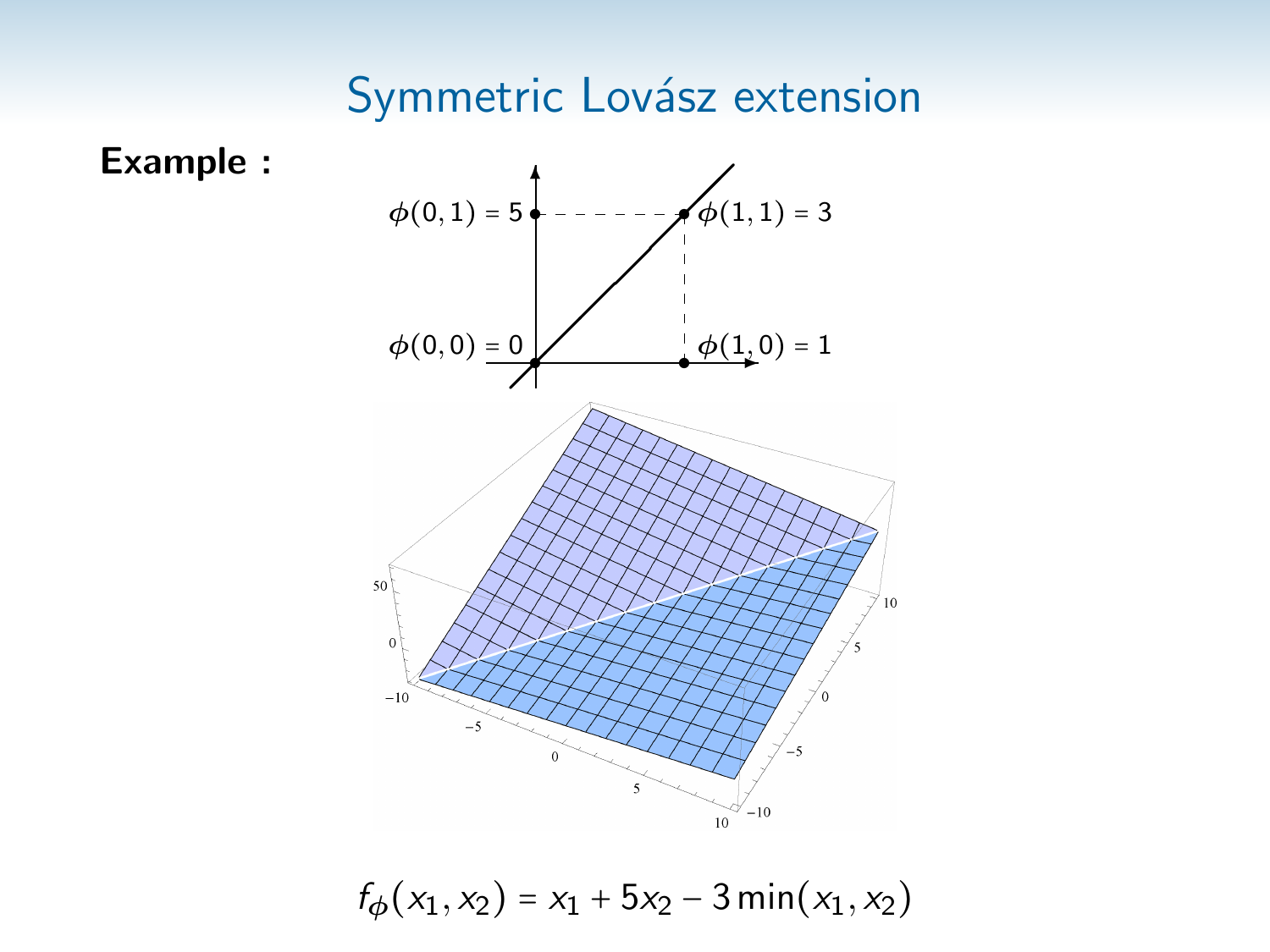

 $f_{\phi}(x_1, x_2) = x_1 + 5x_2 - 3 \min(x_1, x_2)$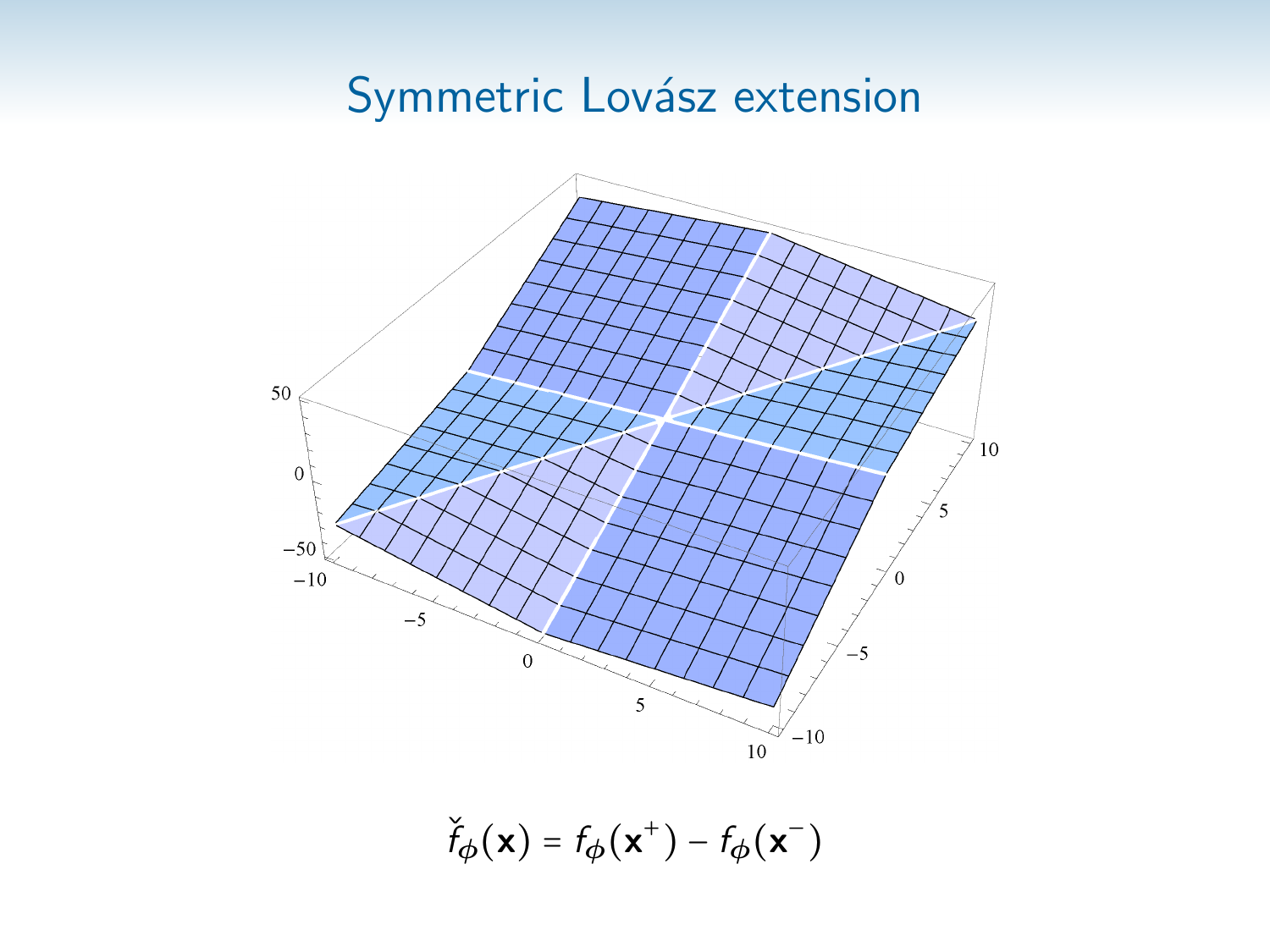

 $\check{f}_{\phi}(\mathbf{x}) = f_{\phi}(\mathbf{x}^+) - f_{\phi}(\mathbf{x}^-)$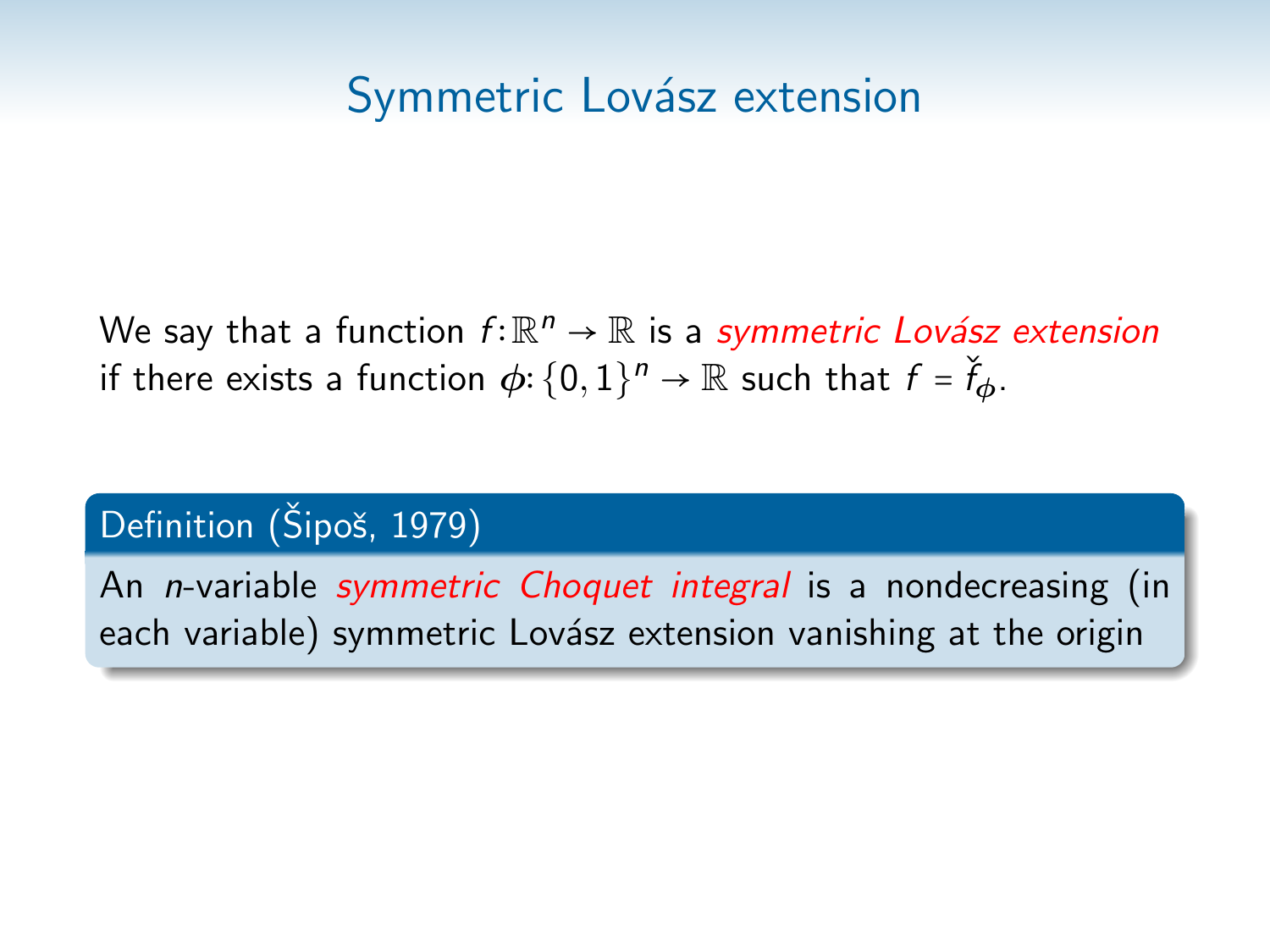We say that a function  $f{:}\mathbb{R}^n \to \mathbb{R}$  is a *symmetric Lovász extension* if there exists a function  $\phi$ :  $\{0,1\}^n \to \mathbb{R}$  such that  $f$  =  $\check{f}_{\bm{\phi}}$ .

### Definition (Šipoš, 1979)

An *n*-variable *symmetric Choquet integral* is a nondecreasing (in each variable) symmetric Lovász extension vanishing at the origin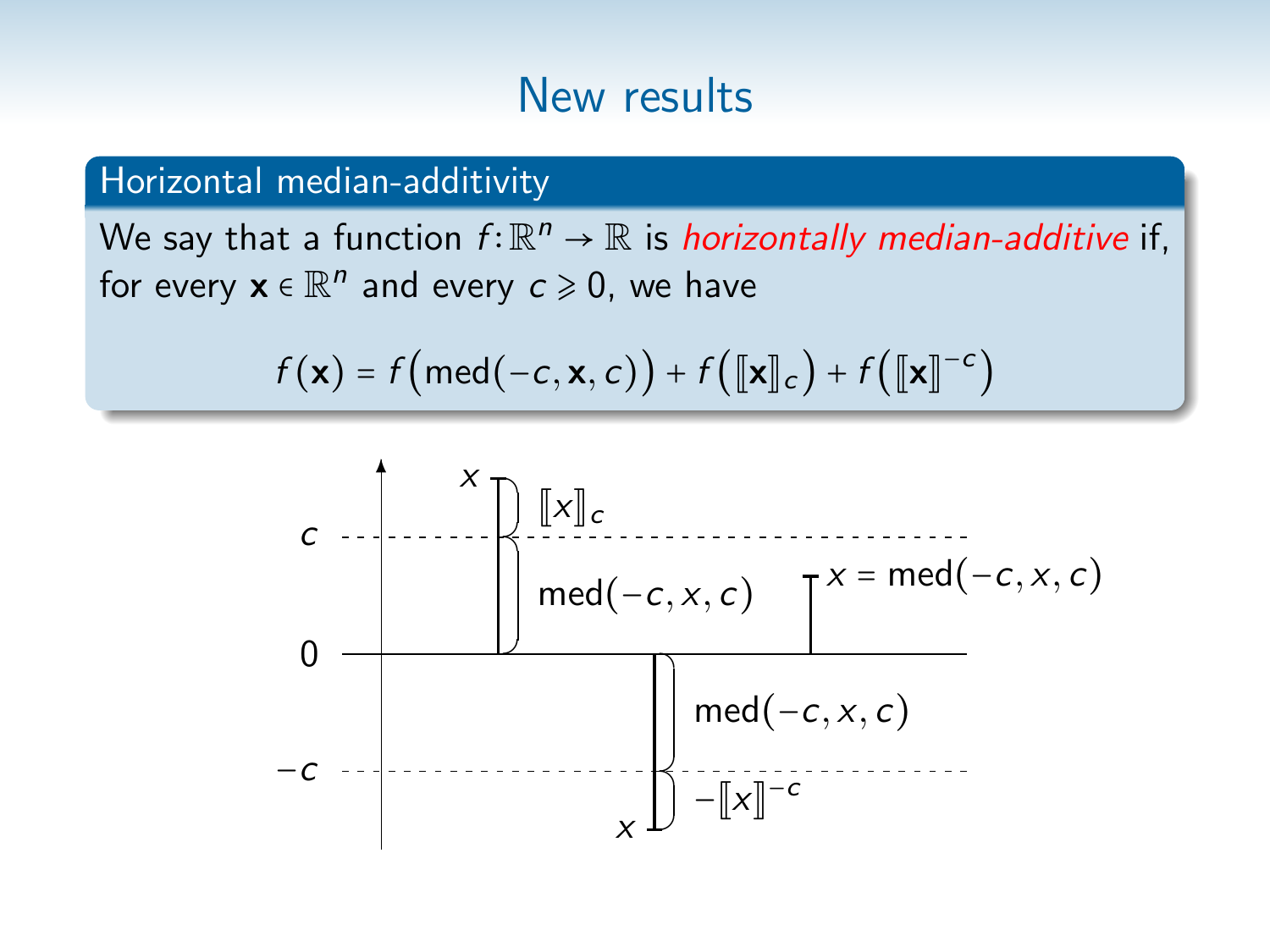#### Horizontal median-additivity

We say that a function  $f{:}\mathbb{R}^n \to \mathbb{R}$  is *horizontally median-additive* if, for every  $\mathbf{x} \in \mathbb{R}^n$  and every  $c \geqslant 0$ , we have

$$
f(\mathbf{x}) = f\big(\text{med}(-c, \mathbf{x}, c)\big) + f\big(\llbracket \mathbf{x} \rrbracket_c\big) + f\big(\llbracket \mathbf{x} \rrbracket^{-c}\big)
$$

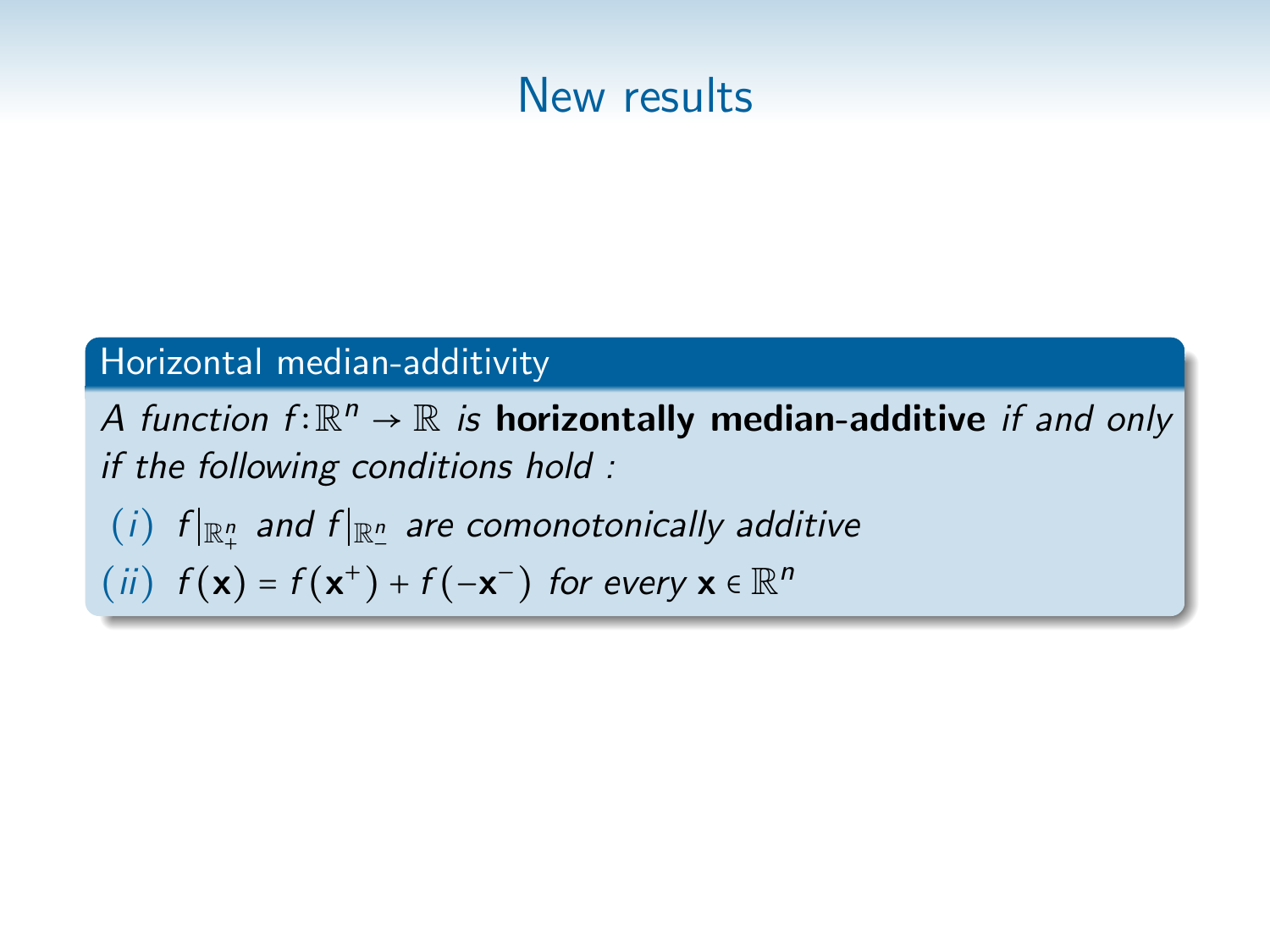

#### Horizontal median-additivity

A function  $f: \mathbb{R}^n \to \mathbb{R}$  is horizontally median-additive if and only if the following conditions hold :

 $(i)$  f $|_{\mathbb{R}^n_+}$  and f $|_{\mathbb{R}^n_-}$  are comonotonically additive

(ii)  $f(\mathbf{x}) = f(\mathbf{x}^+) + f(-\mathbf{x}^-)$  for every  $\mathbf{x} \in \mathbb{R}^n$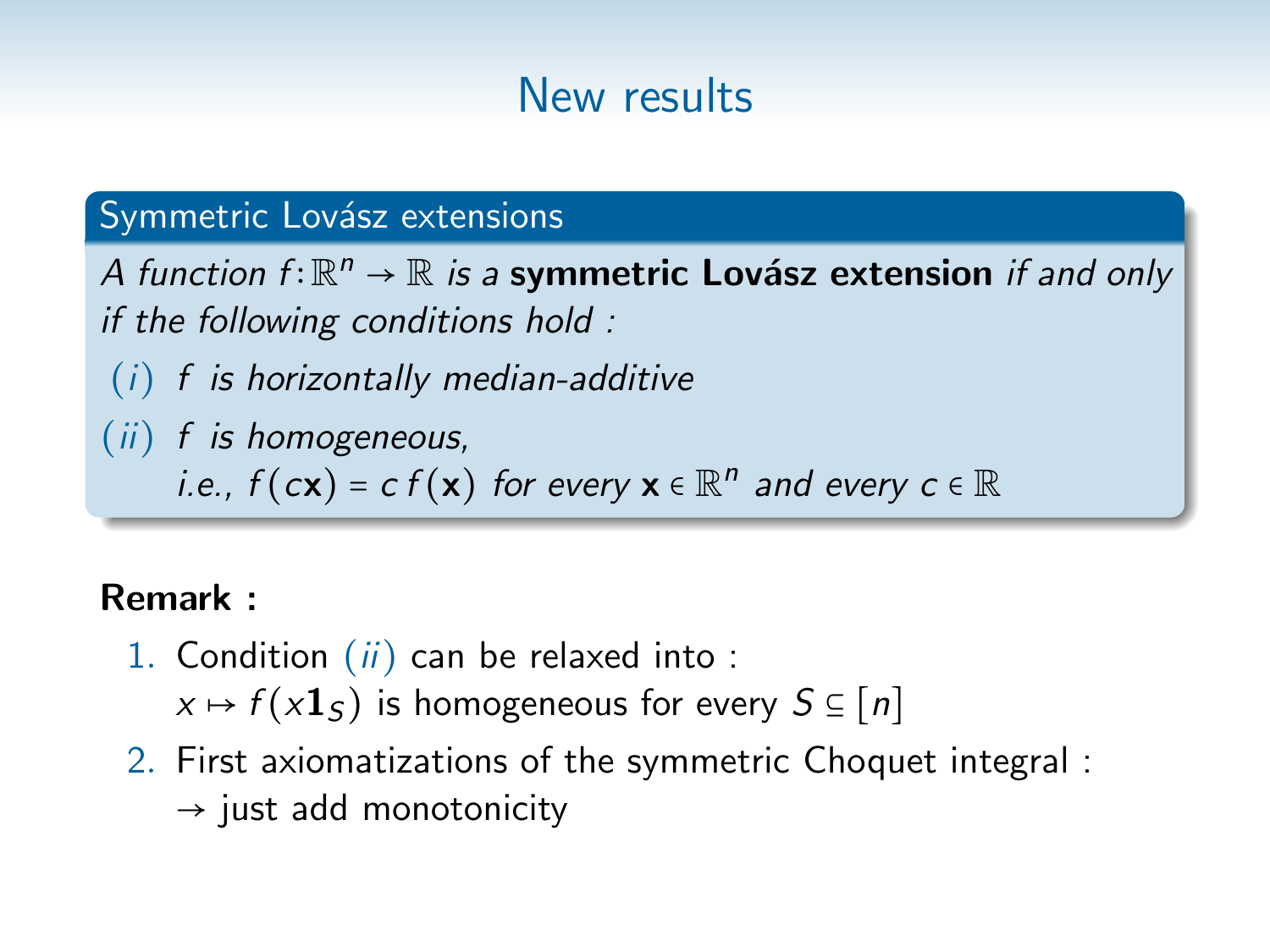### Symmetric Lovász extensions

A function  $f: \mathbb{R}^n \to \mathbb{R}$  is a symmetric Lovász extension if and only if the following conditions hold :

- $(i)$  f is horizontally median-additive
- (ii) f is homogeneous,
	- i.e.,  $f(c\mathbf{x}) = c f(\mathbf{x})$  for every  $\mathbf{x} \in \mathbb{R}^n$  and every  $c \in \mathbb{R}$

### Remark :

- 1. Condition  $(ii)$  can be relaxed into:  $x \mapsto f(x\mathbf{1}_S)$  is homogeneous for every  $S \subseteq [n]$ 
	-
- 2. First axiomatizations of the symmetric Choquet integral :  $\rightarrow$  just add monotonicity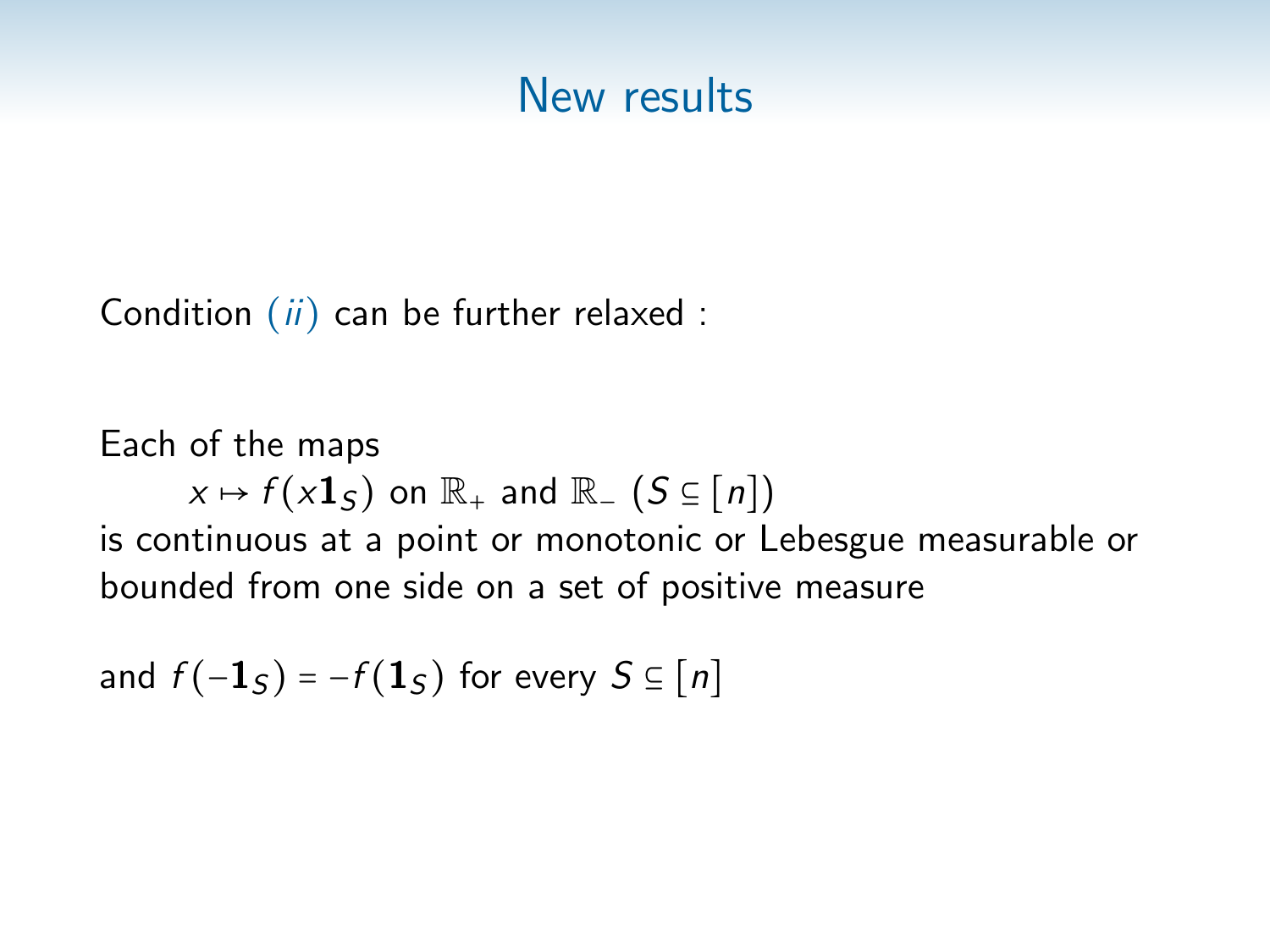Condition  $(ii)$  can be further relaxed :

Each of the maps  $x \mapsto f(x\mathbf{1}_{S})$  on  $\mathbb{R}_{+}$  and  $\mathbb{R}_{-}$   $(S \subseteq [n])$ is continuous at a point or monotonic or Lebesgue measurable or bounded from one side on a set of positive measure

and  $f(-1<sub>S</sub>) = -f(1<sub>S</sub>)$  for every  $S \subseteq [n]$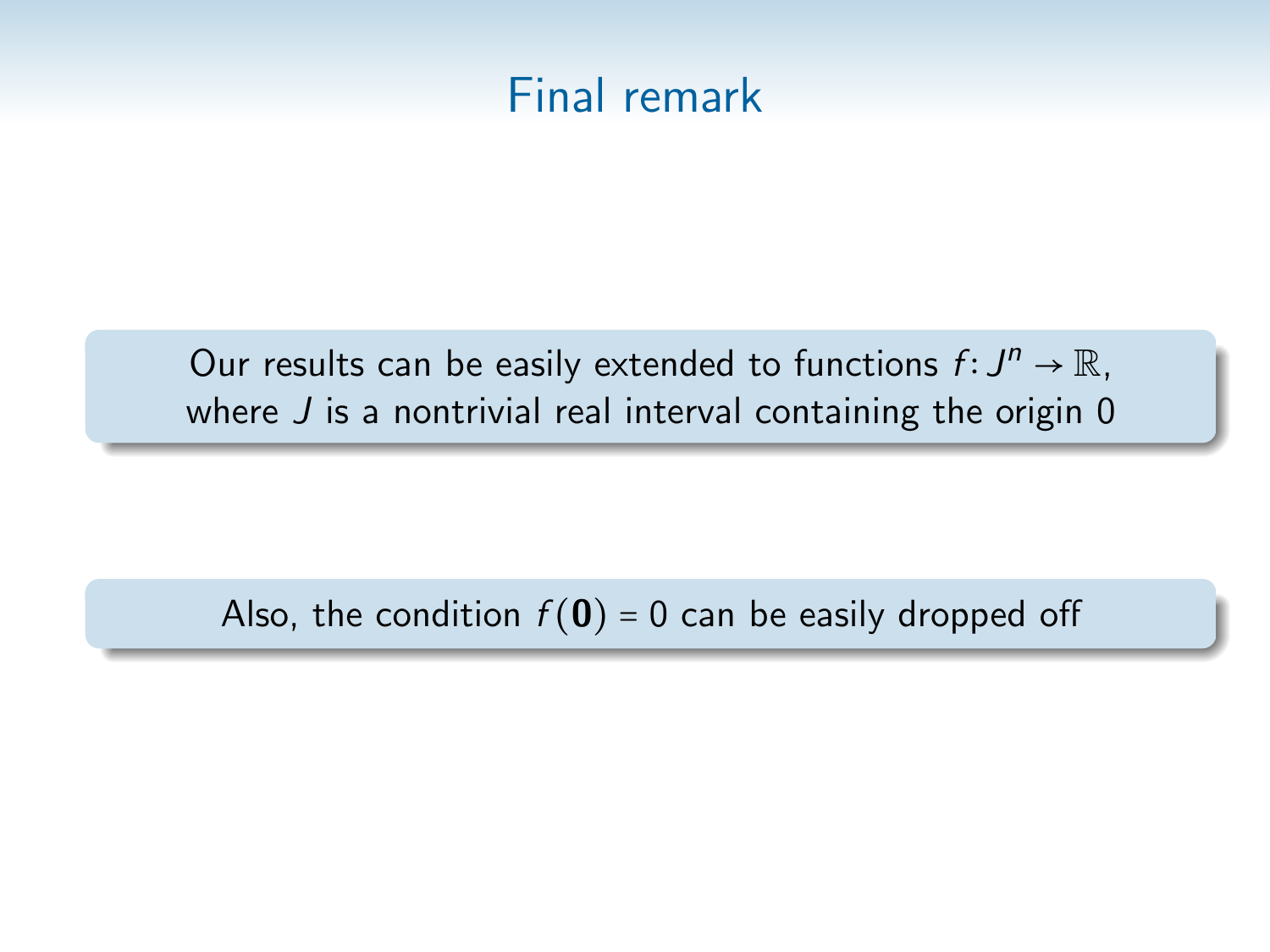

Our results can be easily extended to functions  $f: J^n \to \mathbb{R}$ , where  $J$  is a nontrivial real interval containing the origin  $0$ 

Also, the condition  $f(\mathbf{0}) = 0$  can be easily dropped off